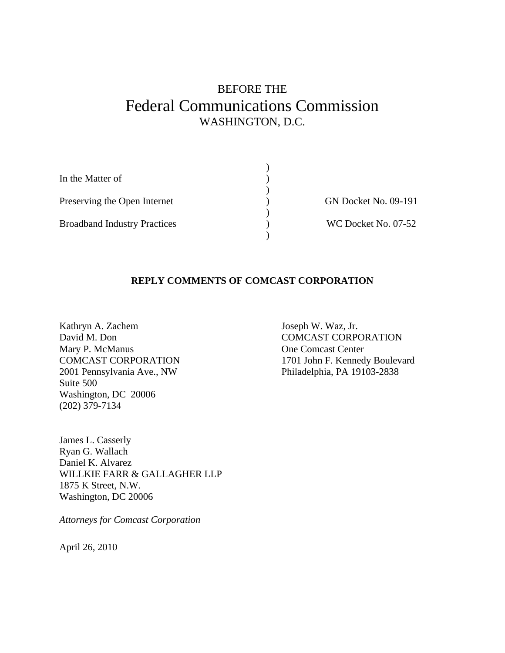# BEFORE THE Federal Communications Commission WASHINGTON, D.C.

| In the Matter of                    |                             |
|-------------------------------------|-----------------------------|
|                                     |                             |
| Preserving the Open Internet        | <b>GN Docket No. 09-191</b> |
|                                     |                             |
| <b>Broadband Industry Practices</b> | WC Docket No. 07-52         |
|                                     |                             |

#### **REPLY COMMENTS OF COMCAST CORPORATION**

Kathryn A. Zachem David M. Don Mary P. McManus COMCAST CORPORATION 2001 Pennsylvania Ave., NW Suite 500 Washington, DC 20006 (202) 379-7134

Joseph W. Waz, Jr. COMCAST CORPORATION One Comcast Center 1701 John F. Kennedy Boulevard Philadelphia, PA 19103-2838

James L. Casserly Ryan G. Wallach Daniel K. Alvarez WILLKIE FARR & GALLAGHER LLP 1875 K Street, N.W. Washington, DC 20006

*Attorneys for Comcast Corporation* 

April 26, 2010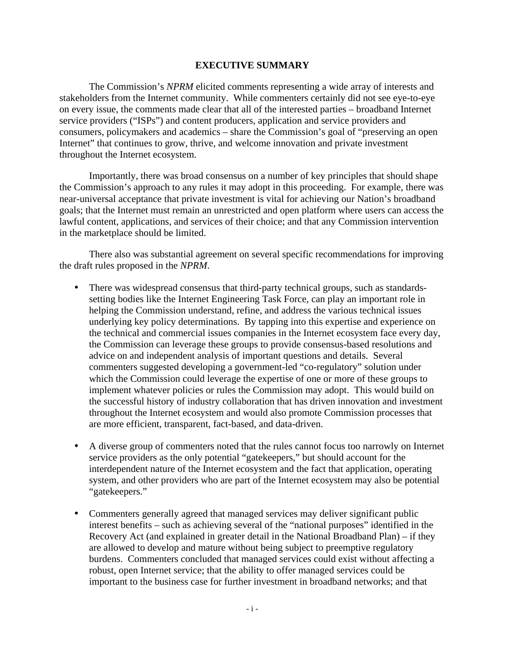#### **EXECUTIVE SUMMARY**

The Commission's *NPRM* elicited comments representing a wide array of interests and stakeholders from the Internet community. While commenters certainly did not see eye-to-eye on every issue, the comments made clear that all of the interested parties – broadband Internet service providers ("ISPs") and content producers, application and service providers and consumers, policymakers and academics – share the Commission's goal of "preserving an open Internet" that continues to grow, thrive, and welcome innovation and private investment throughout the Internet ecosystem.

Importantly, there was broad consensus on a number of key principles that should shape the Commission's approach to any rules it may adopt in this proceeding. For example, there was near-universal acceptance that private investment is vital for achieving our Nation's broadband goals; that the Internet must remain an unrestricted and open platform where users can access the lawful content, applications, and services of their choice; and that any Commission intervention in the marketplace should be limited.

There also was substantial agreement on several specific recommendations for improving the draft rules proposed in the *NPRM*.

- There was widespread consensus that third-party technical groups, such as standardssetting bodies like the Internet Engineering Task Force, can play an important role in helping the Commission understand, refine, and address the various technical issues underlying key policy determinations. By tapping into this expertise and experience on the technical and commercial issues companies in the Internet ecosystem face every day, the Commission can leverage these groups to provide consensus-based resolutions and advice on and independent analysis of important questions and details. Several commenters suggested developing a government-led "co-regulatory" solution under which the Commission could leverage the expertise of one or more of these groups to implement whatever policies or rules the Commission may adopt. This would build on the successful history of industry collaboration that has driven innovation and investment throughout the Internet ecosystem and would also promote Commission processes that are more efficient, transparent, fact-based, and data-driven.
- A diverse group of commenters noted that the rules cannot focus too narrowly on Internet service providers as the only potential "gatekeepers," but should account for the interdependent nature of the Internet ecosystem and the fact that application, operating system, and other providers who are part of the Internet ecosystem may also be potential "gatekeepers."
- Commenters generally agreed that managed services may deliver significant public interest benefits – such as achieving several of the "national purposes" identified in the Recovery Act (and explained in greater detail in the National Broadband Plan) – if they are allowed to develop and mature without being subject to preemptive regulatory burdens. Commenters concluded that managed services could exist without affecting a robust, open Internet service; that the ability to offer managed services could be important to the business case for further investment in broadband networks; and that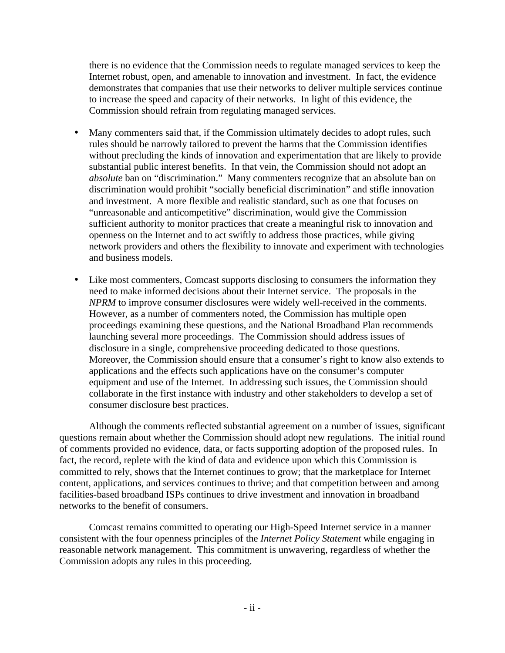there is no evidence that the Commission needs to regulate managed services to keep the Internet robust, open, and amenable to innovation and investment. In fact, the evidence demonstrates that companies that use their networks to deliver multiple services continue to increase the speed and capacity of their networks. In light of this evidence, the Commission should refrain from regulating managed services.

- Many commenters said that, if the Commission ultimately decides to adopt rules, such rules should be narrowly tailored to prevent the harms that the Commission identifies without precluding the kinds of innovation and experimentation that are likely to provide substantial public interest benefits. In that vein, the Commission should not adopt an *absolute* ban on "discrimination." Many commenters recognize that an absolute ban on discrimination would prohibit "socially beneficial discrimination" and stifle innovation and investment. A more flexible and realistic standard, such as one that focuses on "unreasonable and anticompetitive" discrimination, would give the Commission sufficient authority to monitor practices that create a meaningful risk to innovation and openness on the Internet and to act swiftly to address those practices, while giving network providers and others the flexibility to innovate and experiment with technologies and business models.
- Like most commenters, Comcast supports disclosing to consumers the information they need to make informed decisions about their Internet service. The proposals in the *NPRM* to improve consumer disclosures were widely well-received in the comments. However, as a number of commenters noted, the Commission has multiple open proceedings examining these questions, and the National Broadband Plan recommends launching several more proceedings. The Commission should address issues of disclosure in a single, comprehensive proceeding dedicated to those questions. Moreover, the Commission should ensure that a consumer's right to know also extends to applications and the effects such applications have on the consumer's computer equipment and use of the Internet. In addressing such issues, the Commission should collaborate in the first instance with industry and other stakeholders to develop a set of consumer disclosure best practices.

Although the comments reflected substantial agreement on a number of issues, significant questions remain about whether the Commission should adopt new regulations. The initial round of comments provided no evidence, data, or facts supporting adoption of the proposed rules. In fact, the record, replete with the kind of data and evidence upon which this Commission is committed to rely, shows that the Internet continues to grow; that the marketplace for Internet content, applications, and services continues to thrive; and that competition between and among facilities-based broadband ISPs continues to drive investment and innovation in broadband networks to the benefit of consumers.

Comcast remains committed to operating our High-Speed Internet service in a manner consistent with the four openness principles of the *Internet Policy Statement* while engaging in reasonable network management. This commitment is unwavering, regardless of whether the Commission adopts any rules in this proceeding.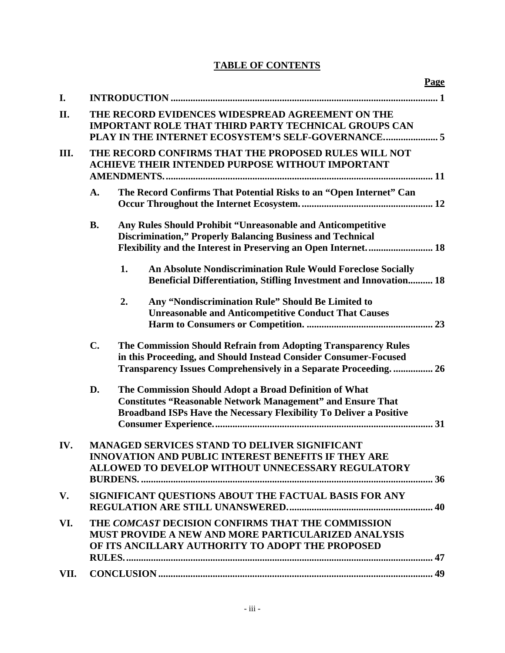# **TABLE OF CONTENTS**

|      |                                                                                                                                                                                | <b>Page</b>                                                                                                                                                                                           |  |  |
|------|--------------------------------------------------------------------------------------------------------------------------------------------------------------------------------|-------------------------------------------------------------------------------------------------------------------------------------------------------------------------------------------------------|--|--|
| I.   |                                                                                                                                                                                |                                                                                                                                                                                                       |  |  |
| II.  |                                                                                                                                                                                | THE RECORD EVIDENCES WIDESPREAD AGREEMENT ON THE<br><b>IMPORTANT ROLE THAT THIRD PARTY TECHNICAL GROUPS CAN</b><br>PLAY IN THE INTERNET ECOSYSTEM'S SELF-GOVERNANCE 5                                 |  |  |
| Ш.   |                                                                                                                                                                                | THE RECORD CONFIRMS THAT THE PROPOSED RULES WILL NOT<br><b>ACHIEVE THEIR INTENDED PURPOSE WITHOUT IMPORTANT</b>                                                                                       |  |  |
|      | A.                                                                                                                                                                             | The Record Confirms That Potential Risks to an "Open Internet" Can                                                                                                                                    |  |  |
|      | <b>B.</b>                                                                                                                                                                      | Any Rules Should Prohibit "Unreasonable and Anticompetitive<br><b>Discrimination," Properly Balancing Business and Technical</b>                                                                      |  |  |
|      |                                                                                                                                                                                | 1.<br><b>An Absolute Nondiscrimination Rule Would Foreclose Socially</b><br><b>Beneficial Differentiation, Stifling Investment and Innovation 18</b>                                                  |  |  |
|      |                                                                                                                                                                                | 2.<br>Any "Nondiscrimination Rule" Should Be Limited to<br><b>Unreasonable and Anticompetitive Conduct That Causes</b>                                                                                |  |  |
|      | $C_{\bullet}$                                                                                                                                                                  | The Commission Should Refrain from Adopting Transparency Rules<br>in this Proceeding, and Should Instead Consider Consumer-Focused<br>Transparency Issues Comprehensively in a Separate Proceeding 26 |  |  |
|      | D.                                                                                                                                                                             | The Commission Should Adopt a Broad Definition of What<br><b>Constitutes "Reasonable Network Management" and Ensure That</b><br>Broadband ISPs Have the Necessary Flexibility To Deliver a Positive   |  |  |
| IV.  | <b>MANAGED SERVICES STAND TO DELIVER SIGNIFICANT</b><br><b>INNOVATION AND PUBLIC INTEREST BENEFITS IF THEY ARE</b><br><b>ALLOWED TO DEVELOP WITHOUT UNNECESSARY REGULATORY</b> |                                                                                                                                                                                                       |  |  |
| V.   |                                                                                                                                                                                | SIGNIFICANT OUESTIONS ABOUT THE FACTUAL BASIS FOR ANY                                                                                                                                                 |  |  |
| VI.  |                                                                                                                                                                                | THE COMCAST DECISION CONFIRMS THAT THE COMMISSION<br><b>MUST PROVIDE A NEW AND MORE PARTICULARIZED ANALYSIS</b><br>OF ITS ANCILLARY AUTHORITY TO ADOPT THE PROPOSED                                   |  |  |
| VII. |                                                                                                                                                                                |                                                                                                                                                                                                       |  |  |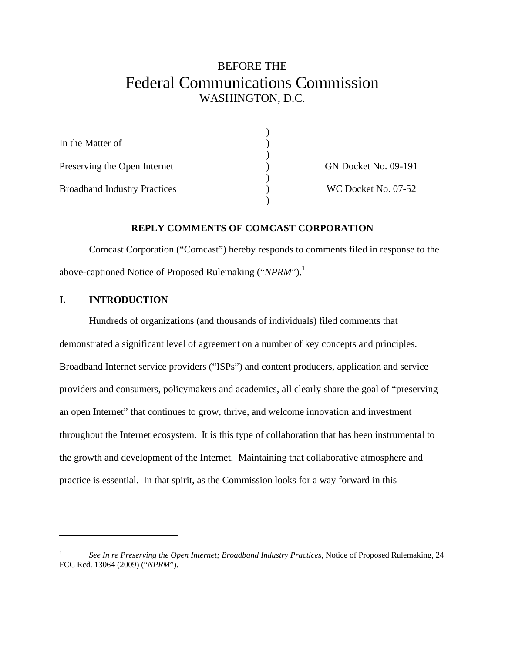# BEFORE THE Federal Communications Commission WASHINGTON, D.C.

| In the Matter of                    |                             |
|-------------------------------------|-----------------------------|
|                                     |                             |
| Preserving the Open Internet        | <b>GN Docket No. 09-191</b> |
|                                     |                             |
| <b>Broadband Industry Practices</b> | WC Docket No. 07-52         |
|                                     |                             |

#### **REPLY COMMENTS OF COMCAST CORPORATION**

Comcast Corporation ("Comcast") hereby responds to comments filed in response to the above-captioned Notice of Proposed Rulemaking ("*NPRM*").1

#### **I. INTRODUCTION**

1

Hundreds of organizations (and thousands of individuals) filed comments that demonstrated a significant level of agreement on a number of key concepts and principles. Broadband Internet service providers ("ISPs") and content producers, application and service providers and consumers, policymakers and academics, all clearly share the goal of "preserving an open Internet" that continues to grow, thrive, and welcome innovation and investment throughout the Internet ecosystem. It is this type of collaboration that has been instrumental to the growth and development of the Internet. Maintaining that collaborative atmosphere and practice is essential. In that spirit, as the Commission looks for a way forward in this

<sup>1</sup> *See In re Preserving the Open Internet; Broadband Industry Practices*, Notice of Proposed Rulemaking, 24 FCC Rcd. 13064 (2009) ("*NPRM*").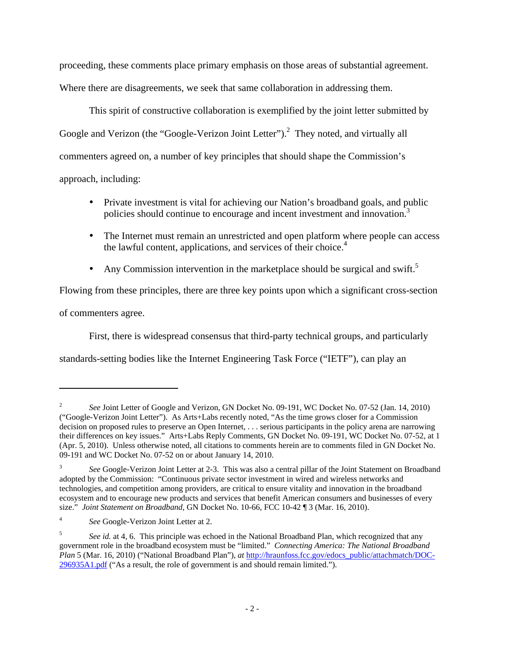proceeding, these comments place primary emphasis on those areas of substantial agreement. Where there are disagreements, we seek that same collaboration in addressing them.

This spirit of constructive collaboration is exemplified by the joint letter submitted by Google and Verizon (the "Google-Verizon Joint Letter").<sup>2</sup> They noted, and virtually all commenters agreed on, a number of key principles that should shape the Commission's approach, including:

- Private investment is vital for achieving our Nation's broadband goals, and public policies should continue to encourage and incent investment and innovation.<sup>3</sup>
- The Internet must remain an unrestricted and open platform where people can access the lawful content, applications, and services of their choice.<sup>4</sup>
- Any Commission intervention in the marketplace should be surgical and swift.<sup>5</sup>

Flowing from these principles, there are three key points upon which a significant cross-section

of commenters agree.

1

First, there is widespread consensus that third-party technical groups, and particularly

standards-setting bodies like the Internet Engineering Task Force ("IETF"), can play an

<sup>2</sup> *See* Joint Letter of Google and Verizon, GN Docket No. 09-191, WC Docket No. 07-52 (Jan. 14, 2010) ("Google-Verizon Joint Letter"). As Arts+Labs recently noted, "As the time grows closer for a Commission decision on proposed rules to preserve an Open Internet, . . . serious participants in the policy arena are narrowing their differences on key issues." Arts+Labs Reply Comments, GN Docket No. 09-191, WC Docket No. 07-52, at 1 (Apr. 5, 2010). Unless otherwise noted, all citations to comments herein are to comments filed in GN Docket No. 09-191 and WC Docket No. 07-52 on or about January 14, 2010.

<sup>3</sup> *See* Google-Verizon Joint Letter at 2-3. This was also a central pillar of the Joint Statement on Broadband adopted by the Commission: "Continuous private sector investment in wired and wireless networks and technologies, and competition among providers, are critical to ensure vitality and innovation in the broadband ecosystem and to encourage new products and services that benefit American consumers and businesses of every size." *Joint Statement on Broadband*, GN Docket No. 10-66, FCC 10-42 ¶ 3 (Mar. 16, 2010).

<sup>4</sup> *See* Google-Verizon Joint Letter at 2.

<sup>5</sup> *See id.* at 4, 6. This principle was echoed in the National Broadband Plan, which recognized that any government role in the broadband ecosystem must be "limited." *Connecting America: The National Broadband Plan* 5 (Mar. 16, 2010) ("National Broadband Plan"), *at* http://hraunfoss.fcc.gov/edocs\_public/attachmatch/DOC-296935A1.pdf ("As a result, the role of government is and should remain limited.").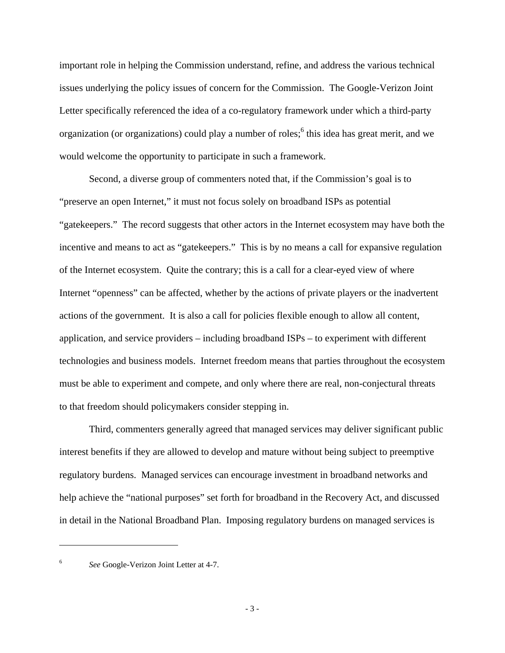important role in helping the Commission understand, refine, and address the various technical issues underlying the policy issues of concern for the Commission. The Google-Verizon Joint Letter specifically referenced the idea of a co-regulatory framework under which a third-party organization (or organizations) could play a number of roles;<sup>6</sup> this idea has great merit, and we would welcome the opportunity to participate in such a framework.

Second, a diverse group of commenters noted that, if the Commission's goal is to "preserve an open Internet," it must not focus solely on broadband ISPs as potential "gatekeepers." The record suggests that other actors in the Internet ecosystem may have both the incentive and means to act as "gatekeepers." This is by no means a call for expansive regulation of the Internet ecosystem. Quite the contrary; this is a call for a clear-eyed view of where Internet "openness" can be affected, whether by the actions of private players or the inadvertent actions of the government. It is also a call for policies flexible enough to allow all content, application, and service providers – including broadband ISPs – to experiment with different technologies and business models. Internet freedom means that parties throughout the ecosystem must be able to experiment and compete, and only where there are real, non-conjectural threats to that freedom should policymakers consider stepping in.

Third, commenters generally agreed that managed services may deliver significant public interest benefits if they are allowed to develop and mature without being subject to preemptive regulatory burdens. Managed services can encourage investment in broadband networks and help achieve the "national purposes" set forth for broadband in the Recovery Act, and discussed in detail in the National Broadband Plan. Imposing regulatory burdens on managed services is

<sup>6</sup>

*See* Google-Verizon Joint Letter at 4-7.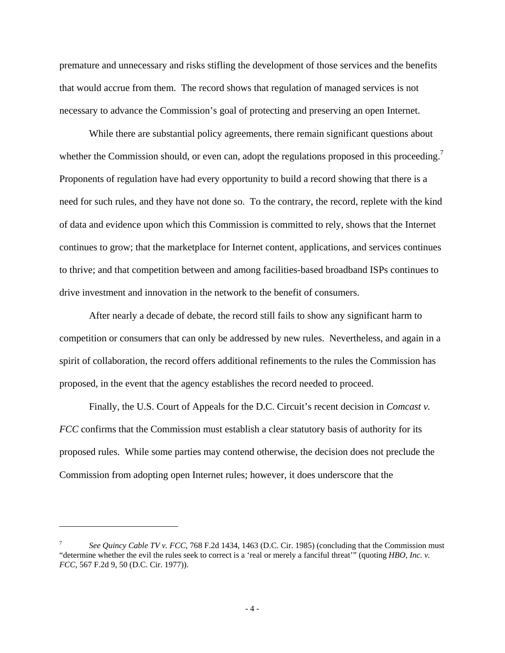premature and unnecessary and risks stifling the development of those services and the benefits that would accrue from them. The record shows that regulation of managed services is not necessary to advance the Commission's goal of protecting and preserving an open Internet.

While there are substantial policy agreements, there remain significant questions about whether the Commission should, or even can, adopt the regulations proposed in this proceeding.<sup>7</sup> Proponents of regulation have had every opportunity to build a record showing that there is a need for such rules, and they have not done so. To the contrary, the record, replete with the kind of data and evidence upon which this Commission is committed to rely, shows that the Internet continues to grow; that the marketplace for Internet content, applications, and services continues to thrive; and that competition between and among facilities-based broadband ISPs continues to drive investment and innovation in the network to the benefit of consumers.

After nearly a decade of debate, the record still fails to show any significant harm to competition or consumers that can only be addressed by new rules. Nevertheless, and again in a spirit of collaboration, the record offers additional refinements to the rules the Commission has proposed, in the event that the agency establishes the record needed to proceed.

Finally, the U.S. Court of Appeals for the D.C. Circuit's recent decision in *Comcast v. FCC* confirms that the Commission must establish a clear statutory basis of authority for its proposed rules. While some parties may contend otherwise, the decision does not preclude the Commission from adopting open Internet rules; however, it does underscore that the

<u>.</u>

<sup>7</sup> *See Quincy Cable TV v. FCC*, 768 F.2d 1434, 1463 (D.C. Cir. 1985) (concluding that the Commission must "determine whether the evil the rules seek to correct is a 'real or merely a fanciful threat'" (quoting *HBO, Inc. v. FCC*, 567 F.2d 9, 50 (D.C. Cir. 1977)).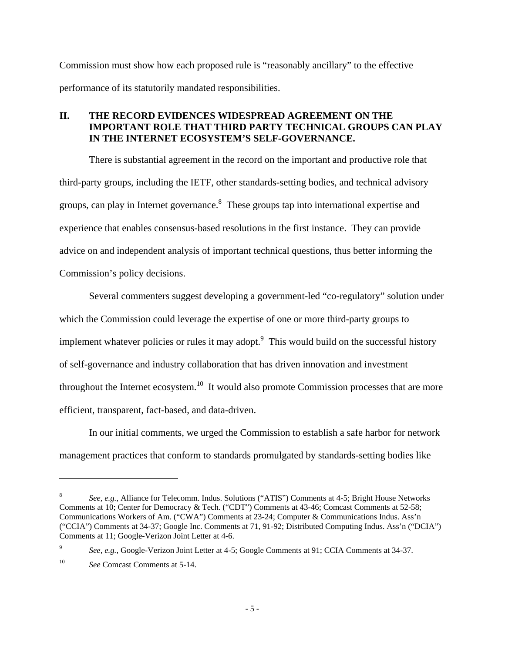Commission must show how each proposed rule is "reasonably ancillary" to the effective performance of its statutorily mandated responsibilities.

# **II. THE RECORD EVIDENCES WIDESPREAD AGREEMENT ON THE IMPORTANT ROLE THAT THIRD PARTY TECHNICAL GROUPS CAN PLAY IN THE INTERNET ECOSYSTEM'S SELF-GOVERNANCE.**

There is substantial agreement in the record on the important and productive role that third-party groups, including the IETF, other standards-setting bodies, and technical advisory groups, can play in Internet governance.<sup>8</sup> These groups tap into international expertise and experience that enables consensus-based resolutions in the first instance. They can provide advice on and independent analysis of important technical questions, thus better informing the Commission's policy decisions.

Several commenters suggest developing a government-led "co-regulatory" solution under which the Commission could leverage the expertise of one or more third-party groups to implement whatever policies or rules it may adopt.<sup>9</sup> This would build on the successful history of self-governance and industry collaboration that has driven innovation and investment throughout the Internet ecosystem.<sup>10</sup> It would also promote Commission processes that are more efficient, transparent, fact-based, and data-driven.

In our initial comments, we urged the Commission to establish a safe harbor for network management practices that conform to standards promulgated by standards-setting bodies like

<sup>8</sup> *See, e.g.*, Alliance for Telecomm. Indus. Solutions ("ATIS") Comments at 4-5; Bright House Networks Comments at 10; Center for Democracy & Tech. ("CDT") Comments at 43-46; Comcast Comments at 52-58; Communications Workers of Am. ("CWA") Comments at 23-24; Computer & Communications Indus. Ass'n ("CCIA") Comments at 34-37; Google Inc. Comments at 71, 91-92; Distributed Computing Indus. Ass'n ("DCIA") Comments at 11; Google-Verizon Joint Letter at 4-6.

<sup>9</sup> *See, e.g.*, Google-Verizon Joint Letter at 4-5; Google Comments at 91; CCIA Comments at 34-37.

<sup>10</sup> *See* Comcast Comments at 5-14.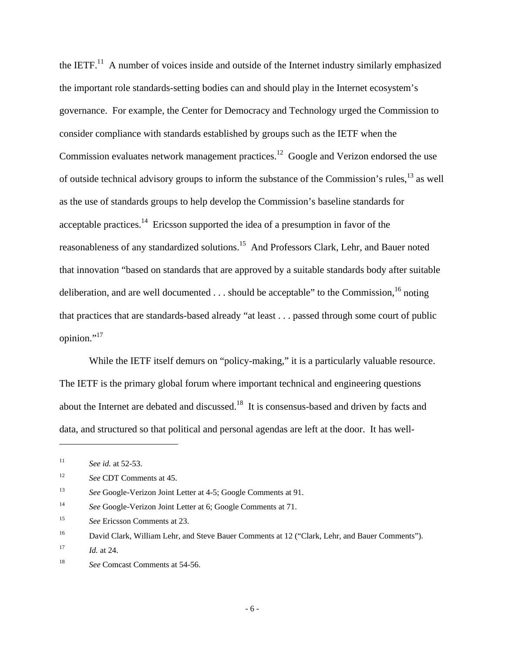the IETF. $^{11}$  A number of voices inside and outside of the Internet industry similarly emphasized the important role standards-setting bodies can and should play in the Internet ecosystem's governance. For example, the Center for Democracy and Technology urged the Commission to consider compliance with standards established by groups such as the IETF when the Commission evaluates network management practices.<sup>12</sup> Google and Verizon endorsed the use of outside technical advisory groups to inform the substance of the Commission's rules,13 as well as the use of standards groups to help develop the Commission's baseline standards for acceptable practices.<sup>14</sup> Ericsson supported the idea of a presumption in favor of the reasonableness of any standardized solutions.15 And Professors Clark, Lehr, and Bauer noted that innovation "based on standards that are approved by a suitable standards body after suitable deliberation, and are well documented  $\dots$  should be acceptable" to the Commission, <sup>16</sup> noting that practices that are standards-based already "at least . . . passed through some court of public opinion."<sup>17</sup>

While the IETF itself demurs on "policy-making," it is a particularly valuable resource. The IETF is the primary global forum where important technical and engineering questions about the Internet are debated and discussed.18 It is consensus-based and driven by facts and data, and structured so that political and personal agendas are left at the door. It has well-

<sup>11</sup> *See id.* at 52-53.

<sup>12</sup> *See* CDT Comments at 45.

<sup>13</sup> *See* Google-Verizon Joint Letter at 4-5; Google Comments at 91.

<sup>14</sup> *See* Google-Verizon Joint Letter at 6; Google Comments at 71.

<sup>15</sup> *See* Ericsson Comments at 23.

<sup>&</sup>lt;sup>16</sup> David Clark, William Lehr, and Steve Bauer Comments at 12 ("Clark, Lehr, and Bauer Comments").

<sup>17</sup> *Id.* at 24.

<sup>&</sup>lt;sup>18</sup> *See* Comcast Comments at 54-56.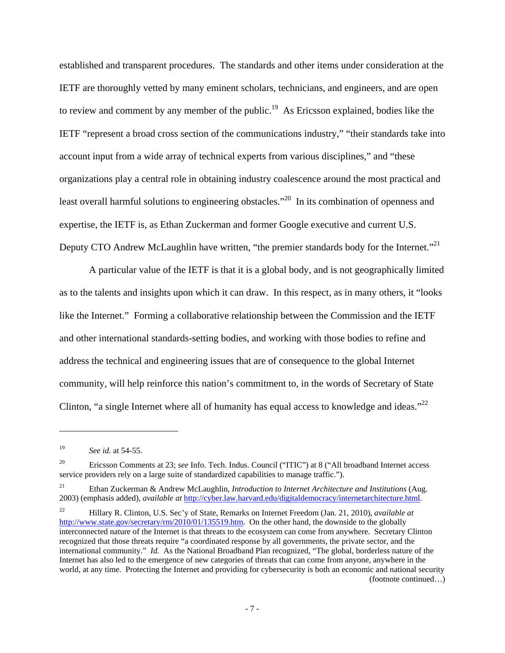established and transparent procedures. The standards and other items under consideration at the IETF are thoroughly vetted by many eminent scholars, technicians, and engineers, and are open to review and comment by any member of the public.<sup>19</sup> As Ericsson explained, bodies like the IETF "represent a broad cross section of the communications industry," "their standards take into account input from a wide array of technical experts from various disciplines," and "these organizations play a central role in obtaining industry coalescence around the most practical and least overall harmful solutions to engineering obstacles."<sup>20</sup> In its combination of openness and expertise, the IETF is, as Ethan Zuckerman and former Google executive and current U.S. Deputy CTO Andrew McLaughlin have written, "the premier standards body for the Internet."<sup>21</sup>

A particular value of the IETF is that it is a global body, and is not geographically limited as to the talents and insights upon which it can draw. In this respect, as in many others, it "looks like the Internet." Forming a collaborative relationship between the Commission and the IETF and other international standards-setting bodies, and working with those bodies to refine and address the technical and engineering issues that are of consequence to the global Internet community, will help reinforce this nation's commitment to, in the words of Secretary of State Clinton, "a single Internet where all of humanity has equal access to knowledge and ideas." $^{22}$ 

<sup>19</sup> *See id.* at 54-55.

<sup>20</sup> Ericsson Comments at 23; *see* Info. Tech. Indus. Council ("ITIC") at 8 ("All broadband Internet access service providers rely on a large suite of standardized capabilities to manage traffic.").

<sup>21</sup> Ethan Zuckerman & Andrew McLaughlin, *Introduction to Internet Architecture and Institutions* (Aug. 2003) (emphasis added), *available at* http://cyber.law.harvard.edu/digitaldemocracy/internetarchitecture.html.

<sup>22</sup> Hillary R. Clinton, U.S. Sec'y of State, Remarks on Internet Freedom (Jan. 21, 2010), *available at* http://www.state.gov/secretary/rm/2010/01/135519.htm. On the other hand, the downside to the globally interconnected nature of the Internet is that threats to the ecosystem can come from anywhere. Secretary Clinton recognized that those threats require "a coordinated response by all governments, the private sector, and the international community." *Id.* As the National Broadband Plan recognized, "The global, borderless nature of the Internet has also led to the emergence of new categories of threats that can come from anyone, anywhere in the world, at any time. Protecting the Internet and providing for cybersecurity is both an economic and national security (footnote continued…)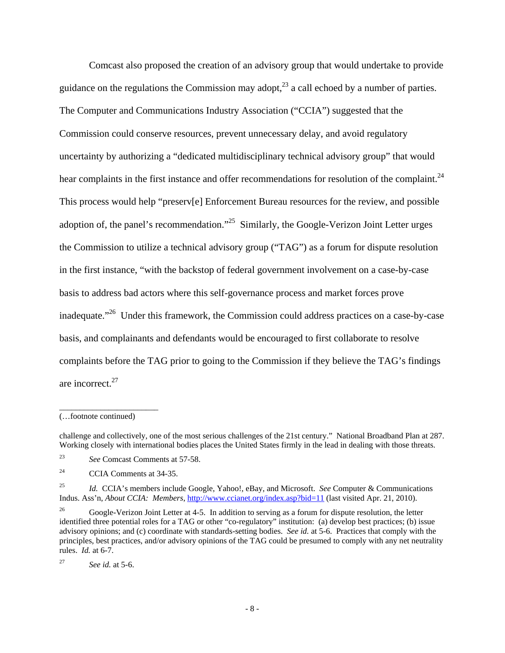Comcast also proposed the creation of an advisory group that would undertake to provide guidance on the regulations the Commission may adopt, $^{23}$  a call echoed by a number of parties. The Computer and Communications Industry Association ("CCIA") suggested that the Commission could conserve resources, prevent unnecessary delay, and avoid regulatory uncertainty by authorizing a "dedicated multidisciplinary technical advisory group" that would hear complaints in the first instance and offer recommendations for resolution of the complaint.<sup>24</sup> This process would help "preserv[e] Enforcement Bureau resources for the review, and possible adoption of, the panel's recommendation."<sup>25</sup> Similarly, the Google-Verizon Joint Letter urges the Commission to utilize a technical advisory group ("TAG") as a forum for dispute resolution in the first instance, "with the backstop of federal government involvement on a case-by-case basis to address bad actors where this self-governance process and market forces prove inadequate."<sup>26</sup> Under this framework, the Commission could address practices on a case-by-case basis, and complainants and defendants would be encouraged to first collaborate to resolve complaints before the TAG prior to going to the Commission if they believe the TAG's findings are incorrect.27

\_\_\_\_\_\_\_\_\_\_\_\_\_\_\_\_\_\_\_\_\_\_\_\_

<sup>(…</sup>footnote continued)

challenge and collectively, one of the most serious challenges of the 21st century." National Broadband Plan at 287. Working closely with international bodies places the United States firmly in the lead in dealing with those threats.

<sup>23</sup> *See* Comcast Comments at 57-58.

<sup>24</sup> CCIA Comments at 34-35.

<sup>25</sup> *Id.* CCIA's members include Google, Yahoo!, eBay, and Microsoft. *See* Computer & Communications Indus. Ass'n, *About CCIA: Members*, http://www.ccianet.org/index.asp?bid=11 (last visited Apr. 21, 2010).

<sup>&</sup>lt;sup>26</sup> Google-Verizon Joint Letter at 4-5. In addition to serving as a forum for dispute resolution, the letter identified three potential roles for a TAG or other "co-regulatory" institution: (a) develop best practices; (b) issue advisory opinions; and (c) coordinate with standards-setting bodies. *See id.* at 5-6. Practices that comply with the principles, best practices, and/or advisory opinions of the TAG could be presumed to comply with any net neutrality rules. *Id.* at 6-7.

<sup>27</sup> *See id.* at 5-6.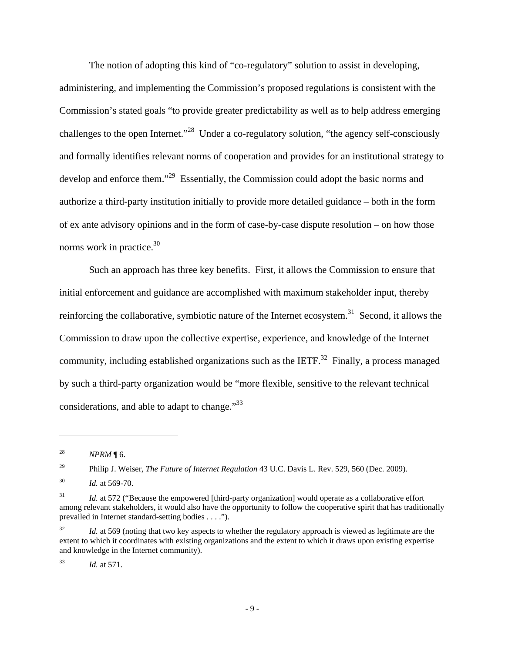The notion of adopting this kind of "co-regulatory" solution to assist in developing, administering, and implementing the Commission's proposed regulations is consistent with the Commission's stated goals "to provide greater predictability as well as to help address emerging challenges to the open Internet."28 Under a co-regulatory solution, "the agency self-consciously and formally identifies relevant norms of cooperation and provides for an institutional strategy to develop and enforce them."<sup>29</sup> Essentially, the Commission could adopt the basic norms and authorize a third-party institution initially to provide more detailed guidance – both in the form of ex ante advisory opinions and in the form of case-by-case dispute resolution – on how those norms work in practice.<sup>30</sup>

Such an approach has three key benefits. First, it allows the Commission to ensure that initial enforcement and guidance are accomplished with maximum stakeholder input, thereby reinforcing the collaborative, symbiotic nature of the Internet ecosystem.<sup>31</sup> Second, it allows the Commission to draw upon the collective expertise, experience, and knowledge of the Internet community, including established organizations such as the IETF.<sup>32</sup> Finally, a process managed by such a third-party organization would be "more flexible, sensitive to the relevant technical considerations, and able to adapt to change."<sup>33</sup>

 $\overline{a}$ 

29 Philip J. Weiser, *The Future of Internet Regulation* 43 U.C. Davis L. Rev. 529, 560 (Dec. 2009).

33 *Id.* at 571.

<sup>28</sup> *NPRM* ¶ 6.

<sup>30</sup> *Id.* at 569-70.

<sup>&</sup>lt;sup>31</sup> *Id.* at 572 ("Because the empowered [third-party organization] would operate as a collaborative effort among relevant stakeholders, it would also have the opportunity to follow the cooperative spirit that has traditionally prevailed in Internet standard-setting bodies . . . .").

<sup>&</sup>lt;sup>32</sup> *Id.* at 569 (noting that two key aspects to whether the regulatory approach is viewed as legitimate are the extent to which it coordinates with existing organizations and the extent to which it draws upon existing expertise and knowledge in the Internet community).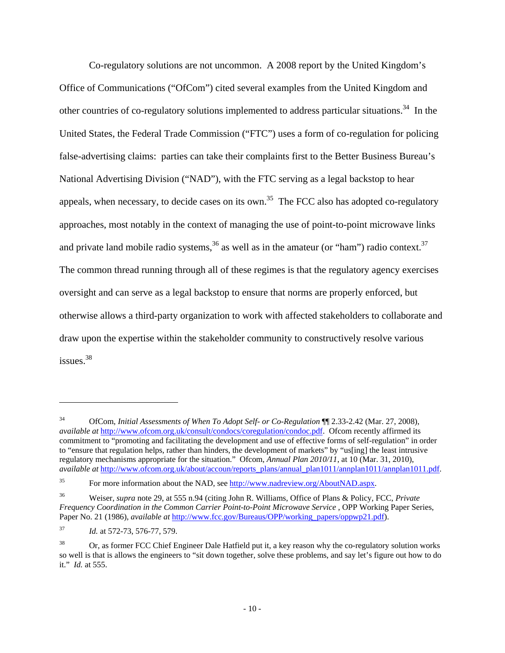Co-regulatory solutions are not uncommon. A 2008 report by the United Kingdom's Office of Communications ("OfCom") cited several examples from the United Kingdom and other countries of co-regulatory solutions implemented to address particular situations.<sup>34</sup> In the United States, the Federal Trade Commission ("FTC") uses a form of co-regulation for policing false-advertising claims: parties can take their complaints first to the Better Business Bureau's National Advertising Division ("NAD"), with the FTC serving as a legal backstop to hear appeals, when necessary, to decide cases on its own.<sup>35</sup> The FCC also has adopted co-regulatory approaches, most notably in the context of managing the use of point-to-point microwave links and private land mobile radio systems,  $36$  as well as in the amateur (or "ham") radio context.  $37$ The common thread running through all of these regimes is that the regulatory agency exercises oversight and can serve as a legal backstop to ensure that norms are properly enforced, but otherwise allows a third-party organization to work with affected stakeholders to collaborate and draw upon the expertise within the stakeholder community to constructively resolve various issues.38

<sup>34</sup> OfCom, *Initial Assessments of When To Adopt Self- or Co-Regulation* ¶¶ 2.33-2.42 (Mar. 27, 2008), *available at http://www.ofcom.org.uk/consult/condocs/coregulation/condoc.pdf.* Ofcom recently affirmed its commitment to "promoting and facilitating the development and use of effective forms of self-regulation" in order to "ensure that regulation helps, rather than hinders, the development of markets" by "us[ing] the least intrusive regulatory mechanisms appropriate for the situation." Ofcom, *Annual Plan 2010/11*, at 10 (Mar. 31, 2010), *available at* http://www.ofcom.org.uk/about/accoun/reports\_plans/annual\_plan1011/annplan1011/annplan1011.pdf.

<sup>35</sup> For more information about the NAD, see http://www.nadreview.org/AboutNAD.aspx.

<sup>36</sup> Weiser, *supra* note 29, at 555 n.94 (citing John R. Williams, Office of Plans & Policy, FCC, *Private Frequency Coordination in the Common Carrier Point-to-Point Microwave Service* , OPP Working Paper Series, Paper No. 21 (1986), *available at* http://www.fcc.gov/Bureaus/OPP/working\_papers/oppwp21.pdf).

<sup>37</sup> *Id.* at 572-73, 576-77, 579.

<sup>38</sup> Or, as former FCC Chief Engineer Dale Hatfield put it, a key reason why the co-regulatory solution works so well is that is allows the engineers to "sit down together, solve these problems, and say let's figure out how to do it." *Id.* at 555.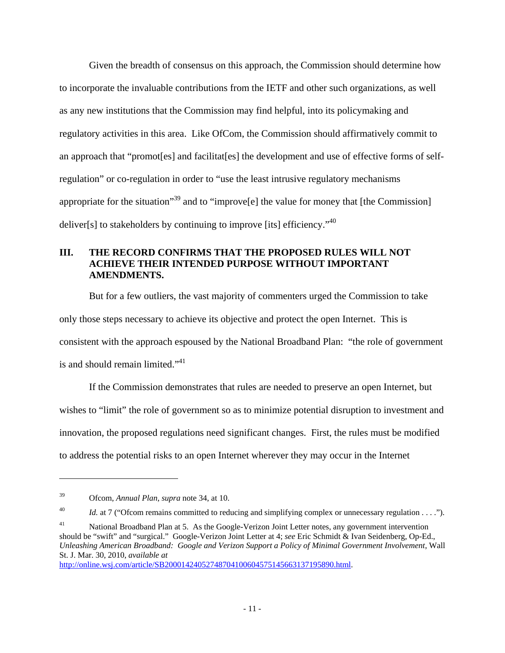Given the breadth of consensus on this approach, the Commission should determine how to incorporate the invaluable contributions from the IETF and other such organizations, as well as any new institutions that the Commission may find helpful, into its policymaking and regulatory activities in this area. Like OfCom, the Commission should affirmatively commit to an approach that "promotes] and facilitates] the development and use of effective forms of selfregulation" or co-regulation in order to "use the least intrusive regulatory mechanisms appropriate for the situation<sup>39</sup> and to "improve<sup>[e]</sup> the value for money that [the Commission] deliver[s] to stakeholders by continuing to improve [its] efficiency.<sup> $40$ </sup>

#### **III. THE RECORD CONFIRMS THAT THE PROPOSED RULES WILL NOT ACHIEVE THEIR INTENDED PURPOSE WITHOUT IMPORTANT AMENDMENTS.**

But for a few outliers, the vast majority of commenters urged the Commission to take only those steps necessary to achieve its objective and protect the open Internet. This is consistent with the approach espoused by the National Broadband Plan: "the role of government is and should remain limited."<sup>41</sup>

If the Commission demonstrates that rules are needed to preserve an open Internet, but wishes to "limit" the role of government so as to minimize potential disruption to investment and innovation, the proposed regulations need significant changes. First, the rules must be modified to address the potential risks to an open Internet wherever they may occur in the Internet

 $\overline{a}$ 

http://online.wsj.com/article/SB20001424052748704100604575145663137195890.html.

<sup>39</sup> Ofcom, *Annual Plan*, *supra* note 34, at 10.

<sup>&</sup>lt;sup>40</sup> *Id.* at 7 ("Ofcom remains committed to reducing and simplifying complex or unnecessary regulation . . . .").

<sup>&</sup>lt;sup>41</sup> National Broadband Plan at 5. As the Google-Verizon Joint Letter notes, any government intervention should be "swift" and "surgical." Google-Verizon Joint Letter at 4; *see* Eric Schmidt & Ivan Seidenberg, Op-Ed., *Unleashing American Broadband: Google and Verizon Support a Policy of Minimal Government Involvement*, Wall St. J. Mar. 30, 2010, *available at*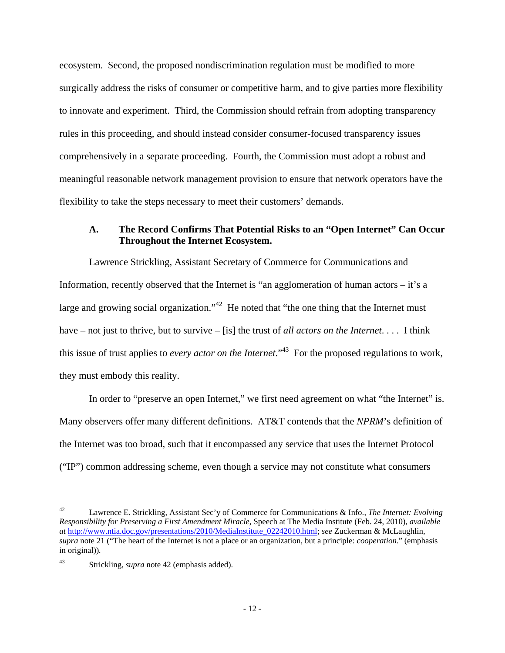ecosystem. Second, the proposed nondiscrimination regulation must be modified to more surgically address the risks of consumer or competitive harm, and to give parties more flexibility to innovate and experiment. Third, the Commission should refrain from adopting transparency rules in this proceeding, and should instead consider consumer-focused transparency issues comprehensively in a separate proceeding. Fourth, the Commission must adopt a robust and meaningful reasonable network management provision to ensure that network operators have the flexibility to take the steps necessary to meet their customers' demands.

# **A. The Record Confirms That Potential Risks to an "Open Internet" Can Occur Throughout the Internet Ecosystem.**

Lawrence Strickling, Assistant Secretary of Commerce for Communications and Information, recently observed that the Internet is "an agglomeration of human actors – it's a large and growing social organization."<sup>42</sup> He noted that "the one thing that the Internet must have – not just to thrive, but to survive – [is] the trust of *all actors on the Internet*. . . . I think this issue of trust applies to *every actor on the Internet*."43 For the proposed regulations to work, they must embody this reality.

In order to "preserve an open Internet," we first need agreement on what "the Internet" is. Many observers offer many different definitions. AT&T contends that the *NPRM*'s definition of the Internet was too broad, such that it encompassed any service that uses the Internet Protocol ("IP") common addressing scheme, even though a service may not constitute what consumers

<sup>42</sup> Lawrence E. Strickling, Assistant Sec'y of Commerce for Communications & Info., *The Internet: Evolving Responsibility for Preserving a First Amendment Miracle*, Speech at The Media Institute (Feb. 24, 2010), *available at* http://www.ntia.doc.gov/presentations/2010/MediaInstitute\_02242010.html; *see* Zuckerman & McLaughlin, *supra* note 21 ("The heart of the Internet is not a place or an organization, but a principle: *cooperation*." (emphasis in original))*.*

<sup>43</sup> Strickling, *supra* note 42 (emphasis added).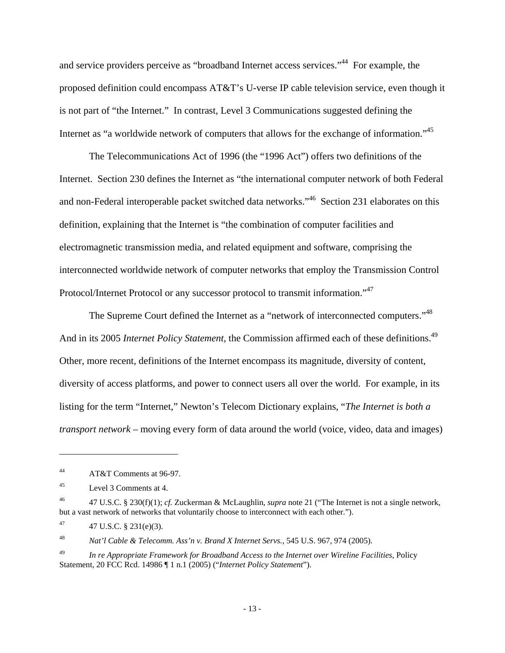and service providers perceive as "broadband Internet access services."44 For example, the proposed definition could encompass AT&T's U-verse IP cable television service, even though it is not part of "the Internet." In contrast, Level 3 Communications suggested defining the Internet as "a worldwide network of computers that allows for the exchange of information."<sup>45</sup>

The Telecommunications Act of 1996 (the "1996 Act") offers two definitions of the Internet. Section 230 defines the Internet as "the international computer network of both Federal and non-Federal interoperable packet switched data networks."<sup>46</sup> Section 231 elaborates on this definition, explaining that the Internet is "the combination of computer facilities and electromagnetic transmission media, and related equipment and software, comprising the interconnected worldwide network of computer networks that employ the Transmission Control Protocol/Internet Protocol or any successor protocol to transmit information."<sup>47</sup>

The Supreme Court defined the Internet as a "network of interconnected computers."<sup>48</sup> And in its 2005 *Internet Policy Statement*, the Commission affirmed each of these definitions.<sup>49</sup> Other, more recent, definitions of the Internet encompass its magnitude, diversity of content, diversity of access platforms, and power to connect users all over the world. For example, in its listing for the term "Internet," Newton's Telecom Dictionary explains, "*The Internet is both a transport network* – moving every form of data around the world (voice, video, data and images)

1

48 *Nat'l Cable & Telecomm. Ass'n v. Brand X Internet Servs.*, 545 U.S. 967, 974 (2005).

<sup>44</sup> AT&T Comments at 96-97.

<sup>45</sup> Level 3 Comments at 4.

<sup>46 47</sup> U.S.C. § 230(f)(1); *cf.* Zuckerman & McLaughlin, *supra* note 21 ("The Internet is not a single network, but a vast network of networks that voluntarily choose to interconnect with each other.").

 $47 \text{ U.S.C. } § 231(e)(3).$ 

<sup>49</sup> *In re Appropriate Framework for Broadband Access to the Internet over Wireline Facilities*, Policy Statement, 20 FCC Rcd. 14986 ¶ 1 n.1 (2005) ("*Internet Policy Statement*").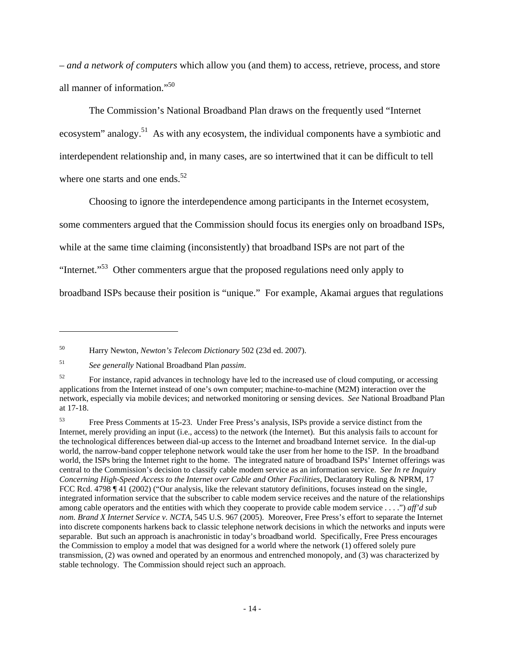– *and a network of computers* which allow you (and them) to access, retrieve, process, and store all manner of information."<sup>50</sup>

The Commission's National Broadband Plan draws on the frequently used "Internet ecosystem" analogy.<sup>51</sup> As with any ecosystem, the individual components have a symbiotic and interdependent relationship and, in many cases, are so intertwined that it can be difficult to tell where one starts and one ends.<sup>52</sup>

Choosing to ignore the interdependence among participants in the Internet ecosystem, some commenters argued that the Commission should focus its energies only on broadband ISPs, while at the same time claiming (inconsistently) that broadband ISPs are not part of the "Internet."53 Other commenters argue that the proposed regulations need only apply to broadband ISPs because their position is "unique." For example, Akamai argues that regulations

<sup>50</sup> Harry Newton, *Newton's Telecom Dictionary* 502 (23d ed. 2007).

<sup>51</sup> *See generally* National Broadband Plan *passim*.

<sup>&</sup>lt;sup>52</sup> For instance, rapid advances in technology have led to the increased use of cloud computing, or accessing applications from the Internet instead of one's own computer; machine-to-machine (M2M) interaction over the network, especially via mobile devices; and networked monitoring or sensing devices. *See* National Broadband Plan at 17-18.

<sup>53</sup> Free Press Comments at 15-23. Under Free Press's analysis, ISPs provide a service distinct from the Internet, merely providing an input (i.e., access) to the network (the Internet). But this analysis fails to account for the technological differences between dial-up access to the Internet and broadband Internet service. In the dial-up world, the narrow-band copper telephone network would take the user from her home to the ISP. In the broadband world, the ISPs bring the Internet right to the home. The integrated nature of broadband ISPs' Internet offerings was central to the Commission's decision to classify cable modem service as an information service. *See In re Inquiry Concerning High-Speed Access to the Internet over Cable and Other Facilities*, Declaratory Ruling & NPRM, 17 FCC Rcd. 4798 ¶ 41 (2002) ("Our analysis, like the relevant statutory definitions, focuses instead on the single, integrated information service that the subscriber to cable modem service receives and the nature of the relationships among cable operators and the entities with which they cooperate to provide cable modem service . . . .") *aff'd sub nom. Brand X Internet Service v. NCTA*, 545 U.S. 967 (2005). Moreover, Free Press's effort to separate the Internet into discrete components harkens back to classic telephone network decisions in which the networks and inputs were separable. But such an approach is anachronistic in today's broadband world. Specifically, Free Press encourages the Commission to employ a model that was designed for a world where the network (1) offered solely pure transmission, (2) was owned and operated by an enormous and entrenched monopoly, and (3) was characterized by stable technology. The Commission should reject such an approach.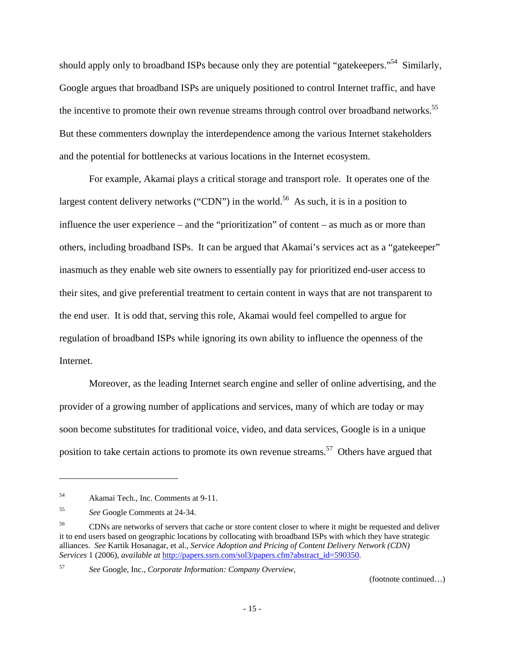should apply only to broadband ISPs because only they are potential "gatekeepers."<sup>54</sup> Similarly, Google argues that broadband ISPs are uniquely positioned to control Internet traffic, and have the incentive to promote their own revenue streams through control over broadband networks.<sup>55</sup> But these commenters downplay the interdependence among the various Internet stakeholders and the potential for bottlenecks at various locations in the Internet ecosystem.

For example, Akamai plays a critical storage and transport role. It operates one of the largest content delivery networks ("CDN") in the world.<sup>56</sup> As such, it is in a position to influence the user experience – and the "prioritization" of content – as much as or more than others, including broadband ISPs. It can be argued that Akamai's services act as a "gatekeeper" inasmuch as they enable web site owners to essentially pay for prioritized end-user access to their sites, and give preferential treatment to certain content in ways that are not transparent to the end user. It is odd that, serving this role, Akamai would feel compelled to argue for regulation of broadband ISPs while ignoring its own ability to influence the openness of the Internet.

Moreover, as the leading Internet search engine and seller of online advertising, and the provider of a growing number of applications and services, many of which are today or may soon become substitutes for traditional voice, video, and data services, Google is in a unique position to take certain actions to promote its own revenue streams.<sup>57</sup> Others have argued that

57 *See* Google, Inc., *Corporate Information: Company Overview*,

<sup>54</sup> Akamai Tech., Inc. Comments at 9-11.

<sup>55</sup> *See* Google Comments at 24-34.

<sup>&</sup>lt;sup>56</sup> CDNs are networks of servers that cache or store content closer to where it might be requested and deliver it to end users based on geographic locations by collocating with broadband ISPs with which they have strategic alliances. *See* Kartik Hosanagar, et al., *Service Adoption and Pricing of Content Delivery Network (CDN) Services* 1 (2006), *available at* http://papers.ssrn.com/sol3/papers.cfm?abstract\_id=590350.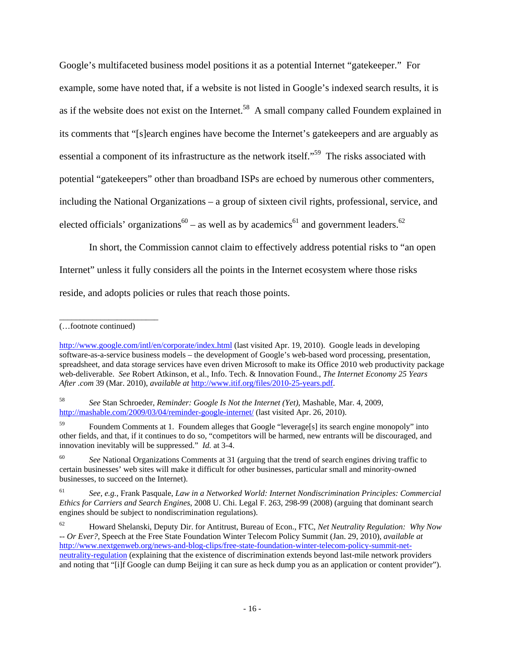Google's multifaceted business model positions it as a potential Internet "gatekeeper." For example, some have noted that, if a website is not listed in Google's indexed search results, it is as if the website does not exist on the Internet.<sup>58</sup> A small company called Foundem explained in its comments that "[s]earch engines have become the Internet's gatekeepers and are arguably as essential a component of its infrastructure as the network itself."<sup>59</sup> The risks associated with potential "gatekeepers" other than broadband ISPs are echoed by numerous other commenters, including the National Organizations – a group of sixteen civil rights, professional, service, and elected officials' organizations<sup>60</sup> – as well as by academics<sup>61</sup> and government leaders.<sup>62</sup>

In short, the Commission cannot claim to effectively address potential risks to "an open Internet" unless it fully considers all the points in the Internet ecosystem where those risks reside, and adopts policies or rules that reach those points.

\_\_\_\_\_\_\_\_\_\_\_\_\_\_\_\_\_\_\_\_\_\_\_\_

58 *See* Stan Schroeder, *Reminder: Google Is Not the Internet (Yet)*, Mashable, Mar. 4, 2009, http://mashable.com/2009/03/04/reminder-google-internet/ (last visited Apr. 26, 2010).

59 Foundem Comments at 1. Foundem alleges that Google "leverage[s] its search engine monopoly" into other fields, and that, if it continues to do so, "competitors will be harmed, new entrants will be discouraged, and innovation inevitably will be suppressed." *Id.* at 3-4.

<sup>60</sup> See National Organizations Comments at 31 (arguing that the trend of search engines driving traffic to certain businesses' web sites will make it difficult for other businesses, particular small and minority-owned businesses, to succeed on the Internet).

61 *See, e.g.*, Frank Pasquale, *Law in a Networked World: Internet Nondiscrimination Principles: Commercial Ethics for Carriers and Search Engines*, 2008 U. Chi. Legal F. 263, 298-99 (2008) (arguing that dominant search engines should be subject to nondiscrimination regulations).

62 Howard Shelanski, Deputy Dir. for Antitrust, Bureau of Econ., FTC, *Net Neutrality Regulation: Why Now -- Or Ever?*, Speech at the Free State Foundation Winter Telecom Policy Summit (Jan. 29, 2010), *available at*  http://www.nextgenweb.org/news-and-blog-clips/free-state-foundation-winter-telecom-policy-summit-netneutrality-regulation (explaining that the existence of discrimination extends beyond last-mile network providers and noting that "[i]f Google can dump Beijing it can sure as heck dump you as an application or content provider").

<sup>(…</sup>footnote continued)

http://www.google.com/intl/en/corporate/index.html (last visited Apr. 19, 2010). Google leads in developing software-as-a-service business models – the development of Google's web-based word processing, presentation, spreadsheet, and data storage services have even driven Microsoft to make its Office 2010 web productivity package web-deliverable. *See* Robert Atkinson, et al., Info. Tech. & Innovation Found., *The Internet Economy 25 Years After .com* 39 (Mar. 2010), *available at* http://www.itif.org/files/2010-25-years.pdf.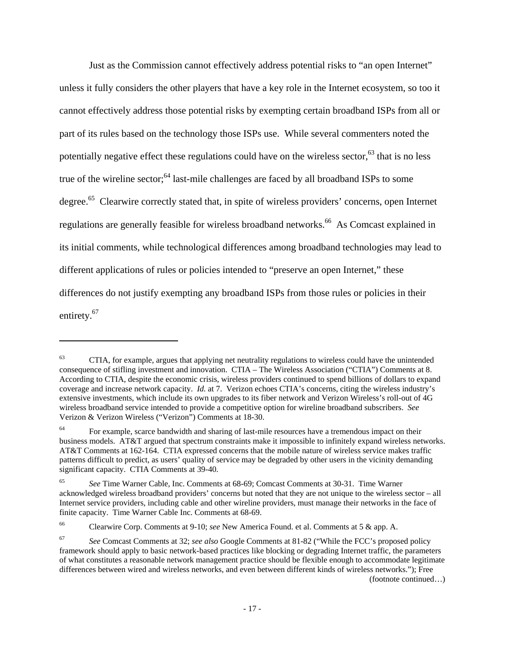Just as the Commission cannot effectively address potential risks to "an open Internet" unless it fully considers the other players that have a key role in the Internet ecosystem, so too it cannot effectively address those potential risks by exempting certain broadband ISPs from all or part of its rules based on the technology those ISPs use. While several commenters noted the potentially negative effect these regulations could have on the wireless sector, $63$  that is no less true of the wireline sector; $64$  last-mile challenges are faced by all broadband ISPs to some degree.<sup>65</sup> Clearwire correctly stated that, in spite of wireless providers' concerns, open Internet regulations are generally feasible for wireless broadband networks.<sup>66</sup> As Comcast explained in its initial comments, while technological differences among broadband technologies may lead to different applications of rules or policies intended to "preserve an open Internet," these differences do not justify exempting any broadband ISPs from those rules or policies in their entirety.<sup>67</sup>

 $\overline{a}$ 

(footnote continued…)

<sup>&</sup>lt;sup>63</sup> CTIA, for example, argues that applying net neutrality regulations to wireless could have the unintended consequence of stifling investment and innovation. CTIA – The Wireless Association ("CTIA") Comments at 8. According to CTIA, despite the economic crisis, wireless providers continued to spend billions of dollars to expand coverage and increase network capacity. *Id.* at 7. Verizon echoes CTIA's concerns, citing the wireless industry's extensive investments, which include its own upgrades to its fiber network and Verizon Wireless's roll-out of 4G wireless broadband service intended to provide a competitive option for wireline broadband subscribers. *See*  Verizon & Verizon Wireless ("Verizon") Comments at 18-30.

<sup>&</sup>lt;sup>64</sup> For example, scarce bandwidth and sharing of last-mile resources have a tremendous impact on their business models. AT&T argued that spectrum constraints make it impossible to infinitely expand wireless networks. AT&T Comments at 162-164. CTIA expressed concerns that the mobile nature of wireless service makes traffic patterns difficult to predict, as users' quality of service may be degraded by other users in the vicinity demanding significant capacity. CTIA Comments at 39-40.

<sup>65</sup> *See* Time Warner Cable, Inc. Comments at 68-69; Comcast Comments at 30-31. Time Warner acknowledged wireless broadband providers' concerns but noted that they are not unique to the wireless sector – all Internet service providers, including cable and other wireline providers, must manage their networks in the face of finite capacity. Time Warner Cable Inc. Comments at 68-69.

<sup>66</sup> Clearwire Corp. Comments at 9-10; *see* New America Found. et al. Comments at 5 & app. A.

<sup>67</sup> *See* Comcast Comments at 32; *see also* Google Comments at 81-82 ("While the FCC's proposed policy framework should apply to basic network-based practices like blocking or degrading Internet traffic, the parameters of what constitutes a reasonable network management practice should be flexible enough to accommodate legitimate differences between wired and wireless networks, and even between different kinds of wireless networks."); Free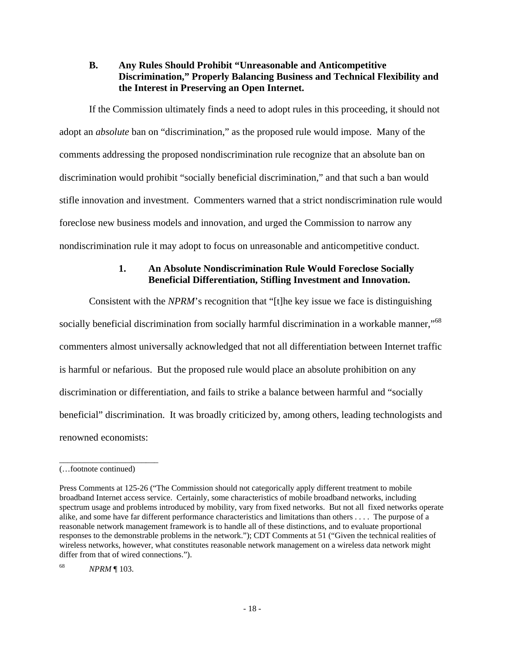## **B. Any Rules Should Prohibit "Unreasonable and Anticompetitive Discrimination," Properly Balancing Business and Technical Flexibility and the Interest in Preserving an Open Internet.**

If the Commission ultimately finds a need to adopt rules in this proceeding, it should not adopt an *absolute* ban on "discrimination," as the proposed rule would impose. Many of the comments addressing the proposed nondiscrimination rule recognize that an absolute ban on discrimination would prohibit "socially beneficial discrimination," and that such a ban would stifle innovation and investment. Commenters warned that a strict nondiscrimination rule would foreclose new business models and innovation, and urged the Commission to narrow any nondiscrimination rule it may adopt to focus on unreasonable and anticompetitive conduct.

# **1. An Absolute Nondiscrimination Rule Would Foreclose Socially Beneficial Differentiation, Stifling Investment and Innovation.**

Consistent with the *NPRM*'s recognition that "[t]he key issue we face is distinguishing socially beneficial discrimination from socially harmful discrimination in a workable manner,"<sup>68</sup> commenters almost universally acknowledged that not all differentiation between Internet traffic is harmful or nefarious. But the proposed rule would place an absolute prohibition on any discrimination or differentiation, and fails to strike a balance between harmful and "socially beneficial" discrimination. It was broadly criticized by, among others, leading technologists and renowned economists:

\_\_\_\_\_\_\_\_\_\_\_\_\_\_\_\_\_\_\_\_\_\_\_\_

<sup>(…</sup>footnote continued)

Press Comments at 125-26 ("The Commission should not categorically apply different treatment to mobile broadband Internet access service. Certainly, some characteristics of mobile broadband networks, including spectrum usage and problems introduced by mobility, vary from fixed networks. But not all fixed networks operate alike, and some have far different performance characteristics and limitations than others . . . . The purpose of a reasonable network management framework is to handle all of these distinctions, and to evaluate proportional responses to the demonstrable problems in the network."); CDT Comments at 51 ("Given the technical realities of wireless networks, however, what constitutes reasonable network management on a wireless data network might differ from that of wired connections.").

<sup>68</sup> *NPRM* ¶ 103.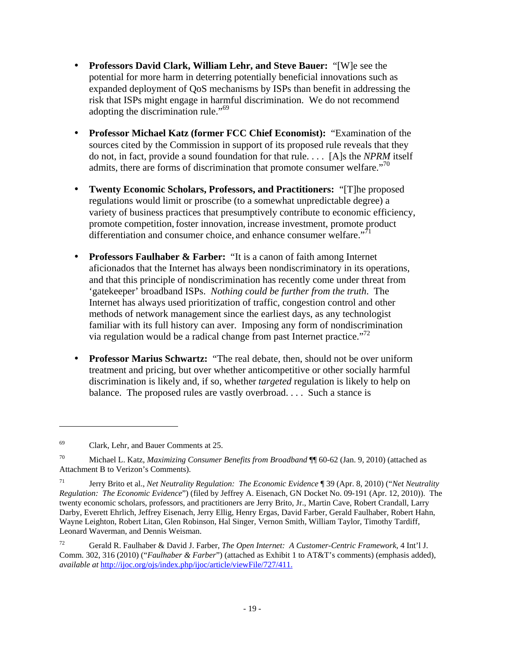- **Professors David Clark, William Lehr, and Steve Bauer:** "[W]e see the potential for more harm in deterring potentially beneficial innovations such as expanded deployment of QoS mechanisms by ISPs than benefit in addressing the risk that ISPs might engage in harmful discrimination. We do not recommend adopting the discrimination rule."<sup>69</sup>
- **Professor Michael Katz (former FCC Chief Economist):** "Examination of the sources cited by the Commission in support of its proposed rule reveals that they do not, in fact, provide a sound foundation for that rule. . . . [A]s the *NPRM* itself admits, there are forms of discrimination that promote consumer welfare. $170$
- **Twenty Economic Scholars, Professors, and Practitioners:** "[T]he proposed regulations would limit or proscribe (to a somewhat unpredictable degree) a variety of business practices that presumptively contribute to economic efficiency, promote competition, foster innovation, increase investment, promote product differentiation and consumer choice, and enhance consumer welfare. $171$
- **Professors Faulhaber & Farber:** "It is a canon of faith among Internet aficionados that the Internet has always been nondiscriminatory in its operations, and that this principle of nondiscrimination has recently come under threat from 'gatekeeper' broadband ISPs. *Nothing could be further from the truth*. The Internet has always used prioritization of traffic, congestion control and other methods of network management since the earliest days, as any technologist familiar with its full history can aver. Imposing any form of nondiscrimination via regulation would be a radical change from past Internet practice."72
- **Professor Marius Schwartz:** "The real debate, then, should not be over uniform treatment and pricing, but over whether anticompetitive or other socially harmful discrimination is likely and, if so, whether *targeted* regulation is likely to help on balance. The proposed rules are vastly overbroad. . . . Such a stance is

<sup>69</sup> Clark, Lehr, and Bauer Comments at 25.

<sup>70</sup> Michael L. Katz, *Maximizing Consumer Benefits from Broadband* ¶¶ 60-62 (Jan. 9, 2010) (attached as Attachment B to Verizon's Comments).

<sup>71</sup> Jerry Brito et al., *Net Neutrality Regulation: The Economic Evidence* ¶ 39 (Apr. 8, 2010) ("*Net Neutrality Regulation: The Economic Evidence*") (filed by Jeffrey A. Eisenach, GN Docket No. 09-191 (Apr. 12, 2010)). The twenty economic scholars, professors, and practitioners are Jerry Brito, Jr., Martin Cave, Robert Crandall, Larry Darby, Everett Ehrlich, Jeffrey Eisenach, Jerry Ellig, Henry Ergas, David Farber, Gerald Faulhaber, Robert Hahn, Wayne Leighton, Robert Litan, Glen Robinson, Hal Singer, Vernon Smith, William Taylor, Timothy Tardiff, Leonard Waverman, and Dennis Weisman.

<sup>72</sup> Gerald R. Faulhaber & David J. Farber, *The Open Internet: A Customer-Centric Framework*, 4 Int'l J. Comm. 302, 316 (2010) ("*Faulhaber & Farber*") (attached as Exhibit 1 to AT&T's comments) (emphasis added), *available at* http://ijoc.org/ojs/index.php/ijoc/article/viewFile/727/411.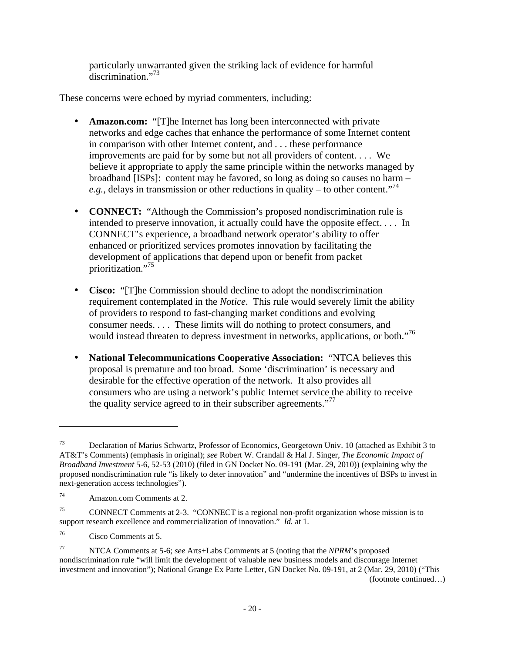particularly unwarranted given the striking lack of evidence for harmful discrimination."73

These concerns were echoed by myriad commenters, including:

- Amazon.com: "[T]he Internet has long been interconnected with private networks and edge caches that enhance the performance of some Internet content in comparison with other Internet content, and . . . these performance improvements are paid for by some but not all providers of content. . . . We believe it appropriate to apply the same principle within the networks managed by broadband [ISPs]: content may be favored, so long as doing so causes no harm – *e.g.*, delays in transmission or other reductions in quality – to other content.<sup> $,74$ </sup>
- **CONNECT:** "Although the Commission's proposed nondiscrimination rule is intended to preserve innovation, it actually could have the opposite effect. . . . In CONNECT's experience, a broadband network operator's ability to offer enhanced or prioritized services promotes innovation by facilitating the development of applications that depend upon or benefit from packet prioritization."75
- **Cisco:** "[T]he Commission should decline to adopt the nondiscrimination requirement contemplated in the *Notice*. This rule would severely limit the ability of providers to respond to fast-changing market conditions and evolving consumer needs. . . . These limits will do nothing to protect consumers, and would instead threaten to depress investment in networks, applications, or both."<sup>76</sup>
- **National Telecommunications Cooperative Association:** "NTCA believes this proposal is premature and too broad. Some 'discrimination' is necessary and desirable for the effective operation of the network. It also provides all consumers who are using a network's public Internet service the ability to receive the quality service agreed to in their subscriber agreements."<sup>77</sup>

 $\overline{a}$ 

(footnote continued…)

<sup>73</sup> Declaration of Marius Schwartz, Professor of Economics, Georgetown Univ. 10 (attached as Exhibit 3 to AT&T's Comments) (emphasis in original); *see* Robert W. Crandall & Hal J. Singer, *The Economic Impact of Broadband Investment* 5-6, 52-53 (2010) (filed in GN Docket No. 09-191 (Mar. 29, 2010)) (explaining why the proposed nondiscrimination rule "is likely to deter innovation" and "undermine the incentives of BSPs to invest in next-generation access technologies").

<sup>74</sup> Amazon.com Comments at 2.

<sup>75</sup> CONNECT Comments at 2-3. "CONNECT is a regional non-profit organization whose mission is to support research excellence and commercialization of innovation." *Id.* at 1.

<sup>76</sup> Cisco Comments at 5.

<sup>77</sup> NTCA Comments at 5-6; *see* Arts+Labs Comments at 5 (noting that the *NPRM*'s proposed nondiscrimination rule "will limit the development of valuable new business models and discourage Internet investment and innovation"); National Grange Ex Parte Letter, GN Docket No. 09-191, at 2 (Mar. 29, 2010) ("This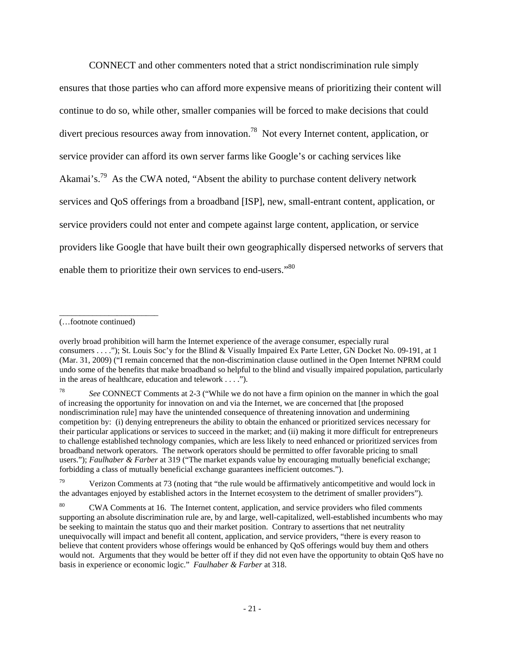CONNECT and other commenters noted that a strict nondiscrimination rule simply ensures that those parties who can afford more expensive means of prioritizing their content will continue to do so, while other, smaller companies will be forced to make decisions that could divert precious resources away from innovation.<sup>78</sup> Not every Internet content, application, or service provider can afford its own server farms like Google's or caching services like Akamai's.<sup>79</sup> As the CWA noted, "Absent the ability to purchase content delivery network services and QoS offerings from a broadband [ISP], new, small-entrant content, application, or service providers could not enter and compete against large content, application, or service providers like Google that have built their own geographically dispersed networks of servers that enable them to prioritize their own services to end-users."<sup>80</sup>

(…footnote continued)

\_\_\_\_\_\_\_\_\_\_\_\_\_\_\_\_\_\_\_\_\_\_\_\_

Verizon Comments at 73 (noting that "the rule would be affirmatively anticompetitive and would lock in the advantages enjoyed by established actors in the Internet ecosystem to the detriment of smaller providers").

overly broad prohibition will harm the Internet experience of the average consumer, especially rural consumers . . . ."); St. Louis Soc'y for the Blind & Visually Impaired Ex Parte Letter, GN Docket No. 09-191, at 1 (Mar. 31, 2009) ("I remain concerned that the non-discrimination clause outlined in the Open Internet NPRM could undo some of the benefits that make broadband so helpful to the blind and visually impaired population, particularly in the areas of healthcare, education and telework . . . .").

<sup>78</sup> *See* CONNECT Comments at 2-3 ("While we do not have a firm opinion on the manner in which the goal of increasing the opportunity for innovation on and via the Internet, we are concerned that [the proposed nondiscrimination rule] may have the unintended consequence of threatening innovation and undermining competition by: (i) denying entrepreneurs the ability to obtain the enhanced or prioritized services necessary for their particular applications or services to succeed in the market; and (ii) making it more difficult for entrepreneurs to challenge established technology companies, which are less likely to need enhanced or prioritized services from broadband network operators. The network operators should be permitted to offer favorable pricing to small users."); *Faulhaber & Farber* at 319 ("The market expands value by encouraging mutually beneficial exchange; forbidding a class of mutually beneficial exchange guarantees inefficient outcomes.").

<sup>&</sup>lt;sup>80</sup> CWA Comments at 16. The Internet content, application, and service providers who filed comments supporting an absolute discrimination rule are, by and large, well-capitalized, well-established incumbents who may be seeking to maintain the status quo and their market position. Contrary to assertions that net neutrality unequivocally will impact and benefit all content, application, and service providers, "there is every reason to believe that content providers whose offerings would be enhanced by QoS offerings would buy them and others would not. Arguments that they would be better off if they did not even have the opportunity to obtain QoS have no basis in experience or economic logic." *Faulhaber & Farber* at 318.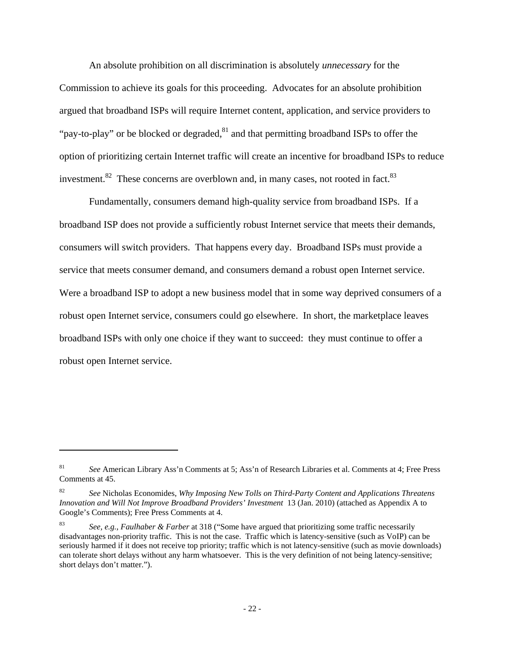An absolute prohibition on all discrimination is absolutely *unnecessary* for the Commission to achieve its goals for this proceeding. Advocates for an absolute prohibition argued that broadband ISPs will require Internet content, application, and service providers to "pay-to-play" or be blocked or degraded, $81$  and that permitting broadband ISPs to offer the option of prioritizing certain Internet traffic will create an incentive for broadband ISPs to reduce investment. $82$  These concerns are overblown and, in many cases, not rooted in fact.  $83$ 

Fundamentally, consumers demand high-quality service from broadband ISPs. If a broadband ISP does not provide a sufficiently robust Internet service that meets their demands, consumers will switch providers. That happens every day. Broadband ISPs must provide a service that meets consumer demand, and consumers demand a robust open Internet service. Were a broadband ISP to adopt a new business model that in some way deprived consumers of a robust open Internet service, consumers could go elsewhere. In short, the marketplace leaves broadband ISPs with only one choice if they want to succeed: they must continue to offer a robust open Internet service.

<sup>81</sup> *See* American Library Ass'n Comments at 5; Ass'n of Research Libraries et al. Comments at 4; Free Press Comments at 45.

<sup>82</sup> *See* Nicholas Economides, *Why Imposing New Tolls on Third-Party Content and Applications Threatens Innovation and Will Not Improve Broadband Providers' Investment* 13 (Jan. 2010) (attached as Appendix A to Google's Comments); Free Press Comments at 4.

<sup>83</sup> *See, e.g.*, *Faulhaber & Farber* at 318 ("Some have argued that prioritizing some traffic necessarily disadvantages non-priority traffic. This is not the case. Traffic which is latency-sensitive (such as VoIP) can be seriously harmed if it does not receive top priority; traffic which is not latency-sensitive (such as movie downloads) can tolerate short delays without any harm whatsoever. This is the very definition of not being latency-sensitive; short delays don't matter.").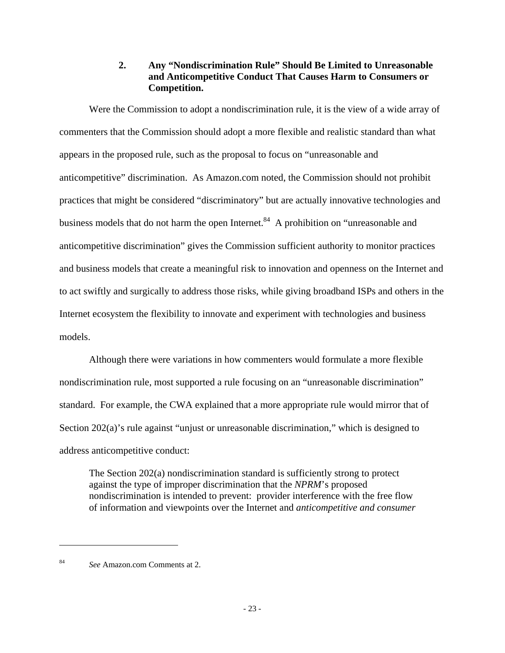## **2. Any "Nondiscrimination Rule" Should Be Limited to Unreasonable and Anticompetitive Conduct That Causes Harm to Consumers or Competition.**

Were the Commission to adopt a nondiscrimination rule, it is the view of a wide array of commenters that the Commission should adopt a more flexible and realistic standard than what appears in the proposed rule, such as the proposal to focus on "unreasonable and anticompetitive" discrimination. As Amazon.com noted, the Commission should not prohibit practices that might be considered "discriminatory" but are actually innovative technologies and business models that do not harm the open Internet.<sup>84</sup> A prohibition on "unreasonable and anticompetitive discrimination" gives the Commission sufficient authority to monitor practices and business models that create a meaningful risk to innovation and openness on the Internet and to act swiftly and surgically to address those risks, while giving broadband ISPs and others in the Internet ecosystem the flexibility to innovate and experiment with technologies and business models.

Although there were variations in how commenters would formulate a more flexible nondiscrimination rule, most supported a rule focusing on an "unreasonable discrimination" standard. For example, the CWA explained that a more appropriate rule would mirror that of Section 202(a)'s rule against "unjust or unreasonable discrimination," which is designed to address anticompetitive conduct:

The Section 202(a) nondiscrimination standard is sufficiently strong to protect against the type of improper discrimination that the *NPRM*'s proposed nondiscrimination is intended to prevent: provider interference with the free flow of information and viewpoints over the Internet and *anticompetitive and consumer*

<sup>84</sup> *See* Amazon.com Comments at 2.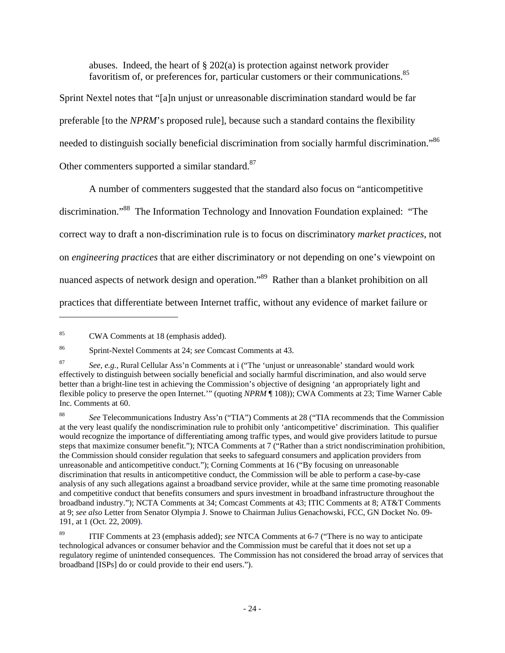abuses. Indeed, the heart of  $\S 202(a)$  is protection against network provider favoritism of, or preferences for, particular customers or their communications.<sup>85</sup>

Sprint Nextel notes that "[a]n unjust or unreasonable discrimination standard would be far preferable [to the *NPRM*'s proposed rule], because such a standard contains the flexibility needed to distinguish socially beneficial discrimination from socially harmful discrimination."<sup>86</sup> Other commenters supported a similar standard.<sup>87</sup>

A number of commenters suggested that the standard also focus on "anticompetitive discrimination."<sup>88</sup> The Information Technology and Innovation Foundation explained: "The correct way to draft a non-discrimination rule is to focus on discriminatory *market practices*, not on *engineering practices* that are either discriminatory or not depending on one's viewpoint on nuanced aspects of network design and operation."<sup>89</sup> Rather than a blanket prohibition on all practices that differentiate between Internet traffic, without any evidence of market failure or

<sup>85</sup> CWA Comments at 18 (emphasis added).

<sup>86</sup> Sprint-Nextel Comments at 24; *see* Comcast Comments at 43.

<sup>87</sup> *See, e.g.*, Rural Cellular Ass'n Comments at i ("The 'unjust or unreasonable' standard would work effectively to distinguish between socially beneficial and socially harmful discrimination, and also would serve better than a bright-line test in achieving the Commission's objective of designing 'an appropriately light and flexible policy to preserve the open Internet.'" (quoting *NPRM* ¶ 108)); CWA Comments at 23; Time Warner Cable Inc. Comments at 60.

<sup>88</sup> *See* Telecommunications Industry Ass'n ("TIA") Comments at 28 ("TIA recommends that the Commission at the very least qualify the nondiscrimination rule to prohibit only 'anticompetitive' discrimination. This qualifier would recognize the importance of differentiating among traffic types, and would give providers latitude to pursue steps that maximize consumer benefit."); NTCA Comments at 7 ("Rather than a strict nondiscrimination prohibition, the Commission should consider regulation that seeks to safeguard consumers and application providers from unreasonable and anticompetitive conduct."); Corning Comments at 16 ("By focusing on unreasonable discrimination that results in anticompetitive conduct, the Commission will be able to perform a case-by-case analysis of any such allegations against a broadband service provider, while at the same time promoting reasonable and competitive conduct that benefits consumers and spurs investment in broadband infrastructure throughout the broadband industry."); NCTA Comments at 34; Comcast Comments at 43; ITIC Comments at 8; AT&T Comments at 9; *see also* Letter from Senator Olympia J. Snowe to Chairman Julius Genachowski, FCC, GN Docket No. 09- 191, at 1 (Oct. 22, 2009).

<sup>89</sup> ITIF Comments at 23 (emphasis added); *see* NTCA Comments at 6-7 ("There is no way to anticipate technological advances or consumer behavior and the Commission must be careful that it does not set up a regulatory regime of unintended consequences. The Commission has not considered the broad array of services that broadband [ISPs] do or could provide to their end users.").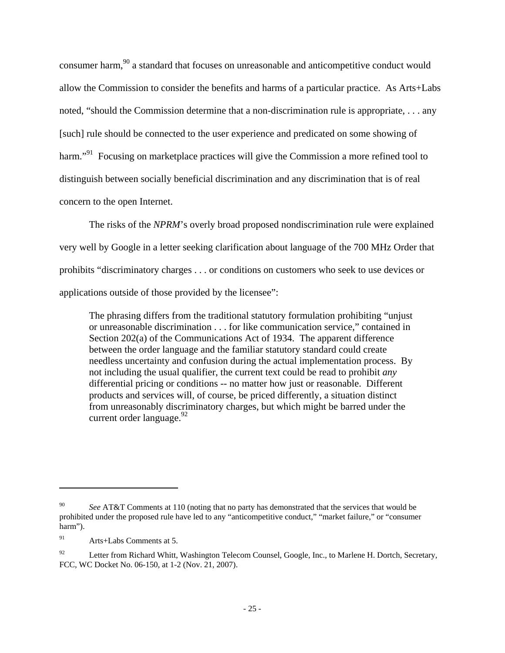consumer harm,<sup>90</sup> a standard that focuses on unreasonable and anticompetitive conduct would allow the Commission to consider the benefits and harms of a particular practice. As Arts+Labs noted, "should the Commission determine that a non-discrimination rule is appropriate, . . . any [such] rule should be connected to the user experience and predicated on some showing of harm."<sup>91</sup> Focusing on marketplace practices will give the Commission a more refined tool to distinguish between socially beneficial discrimination and any discrimination that is of real concern to the open Internet.

The risks of the *NPRM*'s overly broad proposed nondiscrimination rule were explained very well by Google in a letter seeking clarification about language of the 700 MHz Order that prohibits "discriminatory charges . . . or conditions on customers who seek to use devices or applications outside of those provided by the licensee":

The phrasing differs from the traditional statutory formulation prohibiting "unjust or unreasonable discrimination . . . for like communication service," contained in Section 202(a) of the Communications Act of 1934. The apparent difference between the order language and the familiar statutory standard could create needless uncertainty and confusion during the actual implementation process. By not including the usual qualifier, the current text could be read to prohibit *any*  differential pricing or conditions -- no matter how just or reasonable. Different products and services will, of course, be priced differently, a situation distinct from unreasonably discriminatory charges, but which might be barred under the current order language. $^{92}$ 

See AT&T Comments at 110 (noting that no party has demonstrated that the services that would be prohibited under the proposed rule have led to any "anticompetitive conduct," "market failure," or "consumer harm").

<sup>91</sup> Arts+Labs Comments at 5.

Letter from Richard Whitt, Washington Telecom Counsel, Google, Inc., to Marlene H. Dortch, Secretary, FCC, WC Docket No. 06-150, at 1-2 (Nov. 21, 2007).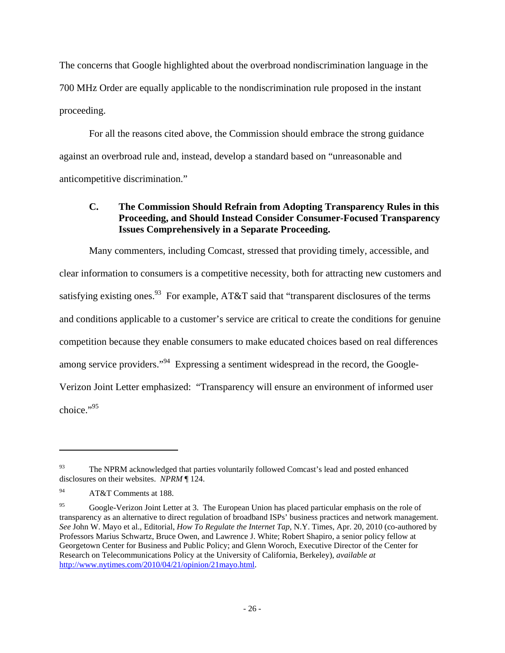The concerns that Google highlighted about the overbroad nondiscrimination language in the 700 MHz Order are equally applicable to the nondiscrimination rule proposed in the instant proceeding.

For all the reasons cited above, the Commission should embrace the strong guidance against an overbroad rule and, instead, develop a standard based on "unreasonable and anticompetitive discrimination."

# **C. The Commission Should Refrain from Adopting Transparency Rules in this Proceeding, and Should Instead Consider Consumer-Focused Transparency Issues Comprehensively in a Separate Proceeding.**

Many commenters, including Comcast, stressed that providing timely, accessible, and clear information to consumers is a competitive necessity, both for attracting new customers and satisfying existing ones.<sup>93</sup> For example, AT&T said that "transparent disclosures of the terms and conditions applicable to a customer's service are critical to create the conditions for genuine competition because they enable consumers to make educated choices based on real differences among service providers."<sup>94</sup> Expressing a sentiment widespread in the record, the Google-Verizon Joint Letter emphasized: "Transparency will ensure an environment of informed user choice."95

<sup>&</sup>lt;sup>93</sup> The NPRM acknowledged that parties voluntarily followed Comcast's lead and posted enhanced disclosures on their websites. *NPRM* ¶ 124.

<sup>94</sup> AT&T Comments at 188.

<sup>&</sup>lt;sup>95</sup> Google-Verizon Joint Letter at 3. The European Union has placed particular emphasis on the role of transparency as an alternative to direct regulation of broadband ISPs' business practices and network management. *See* John W. Mayo et al., Editorial, *How To Regulate the Internet Tap*, N.Y. Times, Apr. 20, 2010 (co-authored by Professors Marius Schwartz, Bruce Owen, and Lawrence J. White; Robert Shapiro, a senior policy fellow at Georgetown Center for Business and Public Policy; and Glenn Woroch, Executive Director of the Center for Research on Telecommunications Policy at the University of California, Berkeley), *available at*  http://www.nytimes.com/2010/04/21/opinion/21mayo.html.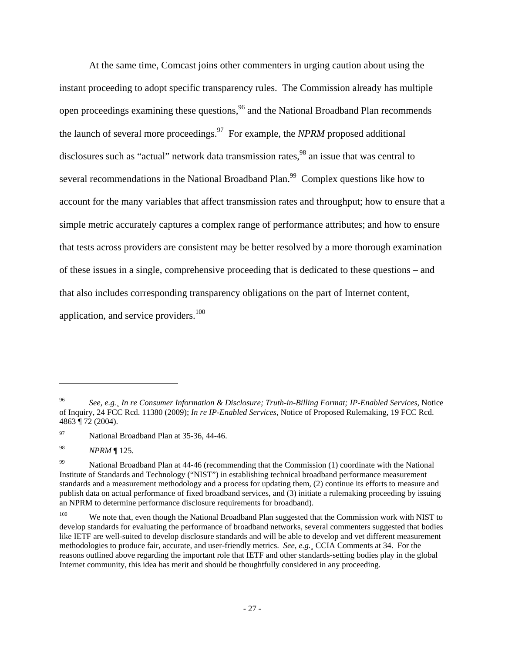At the same time, Comcast joins other commenters in urging caution about using the instant proceeding to adopt specific transparency rules. The Commission already has multiple open proceedings examining these questions,<sup>96</sup> and the National Broadband Plan recommends the launch of several more proceedings.<sup>97</sup> For example, the *NPRM* proposed additional disclosures such as "actual" network data transmission rates,<sup>98</sup> an issue that was central to several recommendations in the National Broadband Plan.<sup>99</sup> Complex questions like how to account for the many variables that affect transmission rates and throughput; how to ensure that a simple metric accurately captures a complex range of performance attributes; and how to ensure that tests across providers are consistent may be better resolved by a more thorough examination of these issues in a single, comprehensive proceeding that is dedicated to these questions – and that also includes corresponding transparency obligations on the part of Internet content, application, and service providers.<sup>100</sup>

<sup>96</sup> *See, e.g.¸ In re Consumer Information & Disclosure; Truth-in-Billing Format; IP-Enabled Services*, Notice of Inquiry, 24 FCC Rcd. 11380 (2009); *In re IP-Enabled Services*, Notice of Proposed Rulemaking, 19 FCC Rcd. 4863 ¶ 72 (2004).

<sup>97</sup> National Broadband Plan at 35-36, 44-46.

<sup>98</sup> *NPRM* ¶ 125.

<sup>&</sup>lt;sup>99</sup> National Broadband Plan at 44-46 (recommending that the Commission (1) coordinate with the National Institute of Standards and Technology ("NIST") in establishing technical broadband performance measurement standards and a measurement methodology and a process for updating them, (2) continue its efforts to measure and publish data on actual performance of fixed broadband services, and (3) initiate a rulemaking proceeding by issuing an NPRM to determine performance disclosure requirements for broadband).

<sup>&</sup>lt;sup>100</sup> We note that, even though the National Broadband Plan suggested that the Commission work with NIST to develop standards for evaluating the performance of broadband networks, several commenters suggested that bodies like IETF are well-suited to develop disclosure standards and will be able to develop and vet different measurement methodologies to produce fair, accurate, and user-friendly metrics. *See, e.g.*¸ CCIA Comments at 34. For the reasons outlined above regarding the important role that IETF and other standards-setting bodies play in the global Internet community, this idea has merit and should be thoughtfully considered in any proceeding.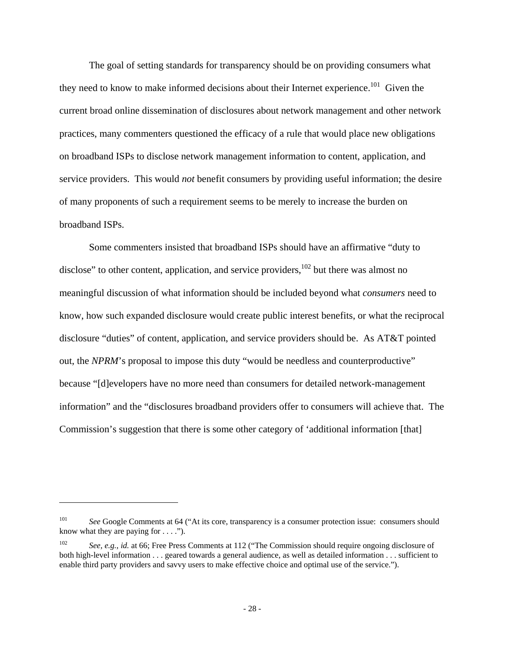The goal of setting standards for transparency should be on providing consumers what they need to know to make informed decisions about their Internet experience.<sup>101</sup> Given the current broad online dissemination of disclosures about network management and other network practices, many commenters questioned the efficacy of a rule that would place new obligations on broadband ISPs to disclose network management information to content, application, and service providers. This would *not* benefit consumers by providing useful information; the desire of many proponents of such a requirement seems to be merely to increase the burden on broadband ISPs.

Some commenters insisted that broadband ISPs should have an affirmative "duty to disclose" to other content, application, and service providers, $102$  but there was almost no meaningful discussion of what information should be included beyond what *consumers* need to know, how such expanded disclosure would create public interest benefits, or what the reciprocal disclosure "duties" of content, application, and service providers should be. As AT&T pointed out, the *NPRM*'s proposal to impose this duty "would be needless and counterproductive" because "[d]evelopers have no more need than consumers for detailed network-management information" and the "disclosures broadband providers offer to consumers will achieve that. The Commission's suggestion that there is some other category of 'additional information [that]

<sup>&</sup>lt;sup>101</sup> *See* Google Comments at 64 ("At its core, transparency is a consumer protection issue: consumers should know what they are paying for  $\dots$  .").

<sup>102</sup> *See, e.g.*, *id.* at 66; Free Press Comments at 112 ("The Commission should require ongoing disclosure of both high-level information . . . geared towards a general audience, as well as detailed information . . . sufficient to enable third party providers and savvy users to make effective choice and optimal use of the service.").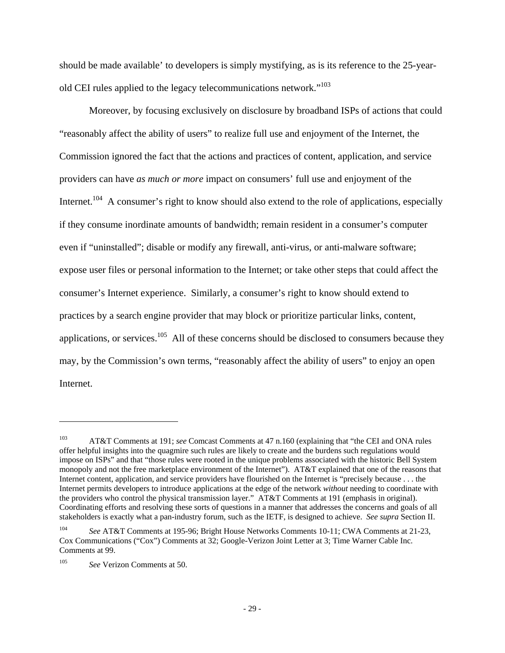should be made available' to developers is simply mystifying, as is its reference to the 25-yearold CEI rules applied to the legacy telecommunications network."<sup>103</sup>

Moreover, by focusing exclusively on disclosure by broadband ISPs of actions that could "reasonably affect the ability of users" to realize full use and enjoyment of the Internet, the Commission ignored the fact that the actions and practices of content, application, and service providers can have *as much or more* impact on consumers' full use and enjoyment of the Internet.<sup>104</sup> A consumer's right to know should also extend to the role of applications, especially if they consume inordinate amounts of bandwidth; remain resident in a consumer's computer even if "uninstalled"; disable or modify any firewall, anti-virus, or anti-malware software; expose user files or personal information to the Internet; or take other steps that could affect the consumer's Internet experience. Similarly, a consumer's right to know should extend to practices by a search engine provider that may block or prioritize particular links, content, applications, or services.<sup>105</sup> All of these concerns should be disclosed to consumers because they may, by the Commission's own terms, "reasonably affect the ability of users" to enjoy an open Internet.

<sup>103</sup> AT&T Comments at 191; *see* Comcast Comments at 47 n.160 (explaining that "the CEI and ONA rules offer helpful insights into the quagmire such rules are likely to create and the burdens such regulations would impose on ISPs" and that "those rules were rooted in the unique problems associated with the historic Bell System monopoly and not the free marketplace environment of the Internet"). AT&T explained that one of the reasons that Internet content, application, and service providers have flourished on the Internet is "precisely because . . . the Internet permits developers to introduce applications at the edge of the network *without* needing to coordinate with the providers who control the physical transmission layer." AT&T Comments at 191 (emphasis in original). Coordinating efforts and resolving these sorts of questions in a manner that addresses the concerns and goals of all stakeholders is exactly what a pan-industry forum, such as the IETF, is designed to achieve. *See supra* Section II.

<sup>104</sup> *See* AT&T Comments at 195-96; Bright House Networks Comments 10-11; CWA Comments at 21-23, Cox Communications ("Cox") Comments at 32; Google-Verizon Joint Letter at 3; Time Warner Cable Inc. Comments at 99.

<sup>105</sup> *See* Verizon Comments at 50.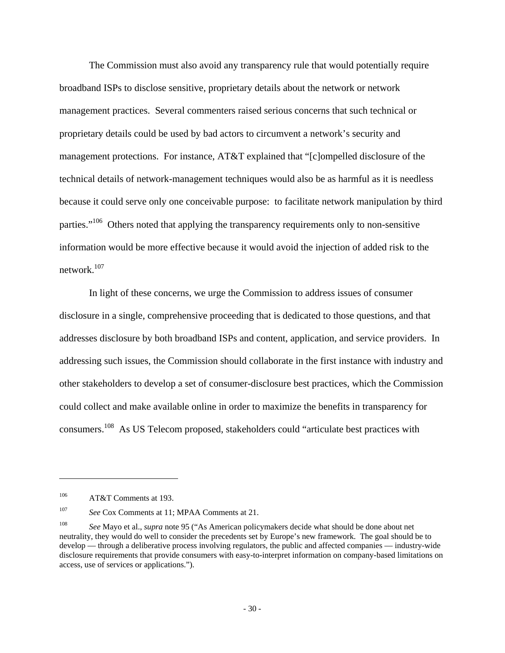The Commission must also avoid any transparency rule that would potentially require broadband ISPs to disclose sensitive, proprietary details about the network or network management practices. Several commenters raised serious concerns that such technical or proprietary details could be used by bad actors to circumvent a network's security and management protections. For instance, AT&T explained that "[c]ompelled disclosure of the technical details of network-management techniques would also be as harmful as it is needless because it could serve only one conceivable purpose: to facilitate network manipulation by third parties."<sup>106</sup> Others noted that applying the transparency requirements only to non-sensitive information would be more effective because it would avoid the injection of added risk to the network.107

In light of these concerns, we urge the Commission to address issues of consumer disclosure in a single, comprehensive proceeding that is dedicated to those questions, and that addresses disclosure by both broadband ISPs and content, application, and service providers. In addressing such issues, the Commission should collaborate in the first instance with industry and other stakeholders to develop a set of consumer-disclosure best practices, which the Commission could collect and make available online in order to maximize the benefits in transparency for consumers.108 As US Telecom proposed, stakeholders could "articulate best practices with

<sup>&</sup>lt;sup>106</sup> AT&T Comments at 193.

<sup>107</sup> *See* Cox Comments at 11; MPAA Comments at 21.

<sup>108</sup> *See* Mayo et al., *supra* note 95 ("As American policymakers decide what should be done about net neutrality, they would do well to consider the precedents set by Europe's new framework. The goal should be to develop — through a deliberative process involving regulators, the public and affected companies — industry-wide disclosure requirements that provide consumers with easy-to-interpret information on company-based limitations on access, use of services or applications.").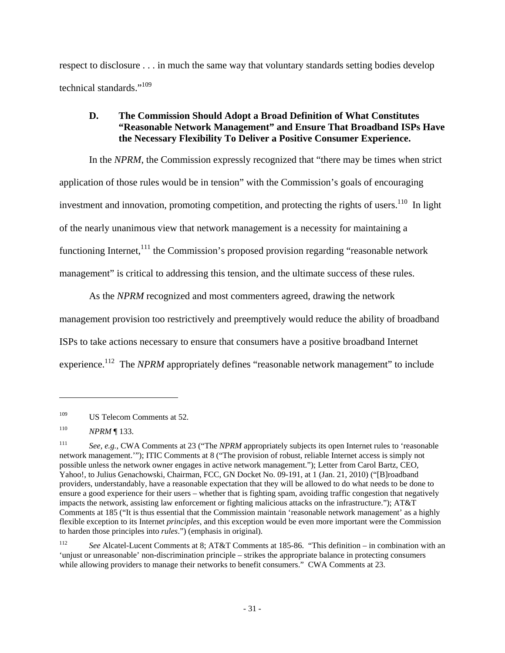respect to disclosure . . . in much the same way that voluntary standards setting bodies develop technical standards."<sup>109</sup>

# **D. The Commission Should Adopt a Broad Definition of What Constitutes "Reasonable Network Management" and Ensure That Broadband ISPs Have the Necessary Flexibility To Deliver a Positive Consumer Experience.**

In the *NPRM*, the Commission expressly recognized that "there may be times when strict application of those rules would be in tension" with the Commission's goals of encouraging investment and innovation, promoting competition, and protecting the rights of users.<sup>110</sup> In light of the nearly unanimous view that network management is a necessity for maintaining a functioning Internet,  $\frac{111}{11}$  the Commission's proposed provision regarding "reasonable network management" is critical to addressing this tension, and the ultimate success of these rules.

As the *NPRM* recognized and most commenters agreed, drawing the network management provision too restrictively and preemptively would reduce the ability of broadband ISPs to take actions necessary to ensure that consumers have a positive broadband Internet experience.<sup>112</sup> The *NPRM* appropriately defines "reasonable network management" to include

<sup>&</sup>lt;sup>109</sup> US Telecom Comments at 52.

<sup>110</sup> *NPRM* ¶ 133.

<sup>111</sup> *See, e.g.*, CWA Comments at 23 ("The *NPRM* appropriately subjects its open Internet rules to 'reasonable network management.'"); ITIC Comments at 8 ("The provision of robust, reliable Internet access is simply not possible unless the network owner engages in active network management."); Letter from Carol Bartz, CEO, Yahoo!, to Julius Genachowski, Chairman, FCC, GN Docket No. 09-191, at 1 (Jan. 21, 2010) ("[B]roadband providers, understandably, have a reasonable expectation that they will be allowed to do what needs to be done to ensure a good experience for their users – whether that is fighting spam, avoiding traffic congestion that negatively impacts the network, assisting law enforcement or fighting malicious attacks on the infrastructure."); AT&T Comments at 185 ("It is thus essential that the Commission maintain 'reasonable network management' as a highly flexible exception to its Internet *principles*, and this exception would be even more important were the Commission to harden those principles into *rules*.") (emphasis in original).

<sup>112</sup> *See* Alcatel-Lucent Comments at 8; AT&T Comments at 185-86. "This definition – in combination with an 'unjust or unreasonable' non-discrimination principle – strikes the appropriate balance in protecting consumers while allowing providers to manage their networks to benefit consumers." CWA Comments at 23.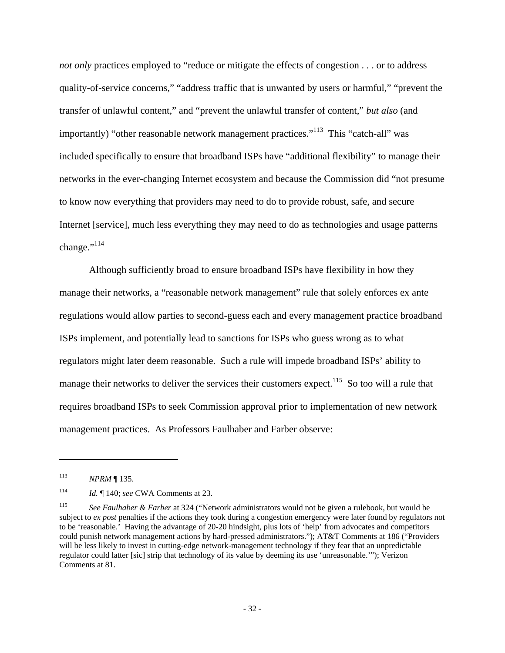*not only* practices employed to "reduce or mitigate the effects of congestion . . . or to address quality-of-service concerns," "address traffic that is unwanted by users or harmful," "prevent the transfer of unlawful content," and "prevent the unlawful transfer of content," *but also* (and importantly) "other reasonable network management practices."<sup>113</sup> This "catch-all" was included specifically to ensure that broadband ISPs have "additional flexibility" to manage their networks in the ever-changing Internet ecosystem and because the Commission did "not presume to know now everything that providers may need to do to provide robust, safe, and secure Internet [service], much less everything they may need to do as technologies and usage patterns change." $^{114}$ 

Although sufficiently broad to ensure broadband ISPs have flexibility in how they manage their networks, a "reasonable network management" rule that solely enforces ex ante regulations would allow parties to second-guess each and every management practice broadband ISPs implement, and potentially lead to sanctions for ISPs who guess wrong as to what regulators might later deem reasonable. Such a rule will impede broadband ISPs' ability to manage their networks to deliver the services their customers expect.<sup>115</sup> So too will a rule that requires broadband ISPs to seek Commission approval prior to implementation of new network management practices. As Professors Faulhaber and Farber observe:

<sup>113</sup> *NPRM* ¶ 135.

<sup>114</sup> *Id.* ¶ 140; *see* CWA Comments at 23.

<sup>115</sup> *See Faulhaber & Farber* at 324 ("Network administrators would not be given a rulebook, but would be subject to *ex post* penalties if the actions they took during a congestion emergency were later found by regulators not to be 'reasonable.' Having the advantage of 20-20 hindsight, plus lots of 'help' from advocates and competitors could punish network management actions by hard-pressed administrators."); AT&T Comments at 186 ("Providers will be less likely to invest in cutting-edge network-management technology if they fear that an unpredictable regulator could latter [sic] strip that technology of its value by deeming its use 'unreasonable.'"); Verizon Comments at 81.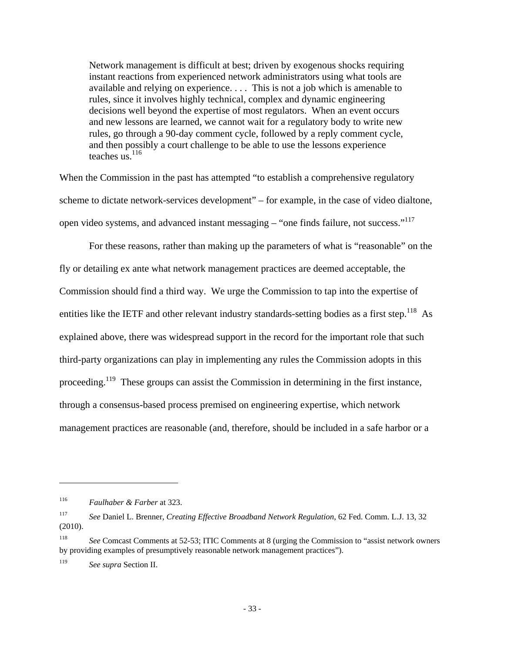Network management is difficult at best; driven by exogenous shocks requiring instant reactions from experienced network administrators using what tools are available and relying on experience. . . . This is not a job which is amenable to rules, since it involves highly technical, complex and dynamic engineering decisions well beyond the expertise of most regulators. When an event occurs and new lessons are learned, we cannot wait for a regulatory body to write new rules, go through a 90-day comment cycle, followed by a reply comment cycle, and then possibly a court challenge to be able to use the lessons experience teaches  $\frac{1}{116}$ 

When the Commission in the past has attempted "to establish a comprehensive regulatory" scheme to dictate network-services development" – for example, in the case of video dialtone, open video systems, and advanced instant messaging – "one finds failure, not success."<sup>117</sup>

For these reasons, rather than making up the parameters of what is "reasonable" on the fly or detailing ex ante what network management practices are deemed acceptable, the Commission should find a third way. We urge the Commission to tap into the expertise of entities like the IETF and other relevant industry standards-setting bodies as a first step.<sup>118</sup> As explained above, there was widespread support in the record for the important role that such third-party organizations can play in implementing any rules the Commission adopts in this proceeding.<sup>119</sup> These groups can assist the Commission in determining in the first instance, through a consensus-based process premised on engineering expertise, which network management practices are reasonable (and, therefore, should be included in a safe harbor or a

<sup>116</sup> *Faulhaber & Farber* at 323.

<sup>117</sup> *See* Daniel L. Brenner, *Creating Effective Broadband Network Regulation*, 62 Fed. Comm. L.J. 13, 32 (2010).

<sup>118</sup> *See* Comcast Comments at 52-53; ITIC Comments at 8 (urging the Commission to "assist network owners by providing examples of presumptively reasonable network management practices").

<sup>119</sup> *See supra* Section II.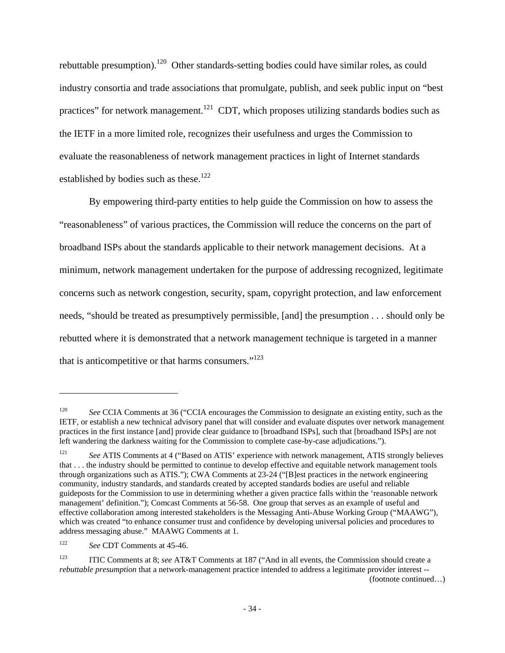rebuttable presumption).<sup>120</sup> Other standards-setting bodies could have similar roles, as could industry consortia and trade associations that promulgate, publish, and seek public input on "best practices" for network management.<sup>121</sup> CDT, which proposes utilizing standards bodies such as the IETF in a more limited role, recognizes their usefulness and urges the Commission to evaluate the reasonableness of network management practices in light of Internet standards established by bodies such as these.<sup>122</sup>

By empowering third-party entities to help guide the Commission on how to assess the "reasonableness" of various practices, the Commission will reduce the concerns on the part of broadband ISPs about the standards applicable to their network management decisions. At a minimum, network management undertaken for the purpose of addressing recognized, legitimate concerns such as network congestion, security, spam, copyright protection, and law enforcement needs, "should be treated as presumptively permissible, [and] the presumption . . . should only be rebutted where it is demonstrated that a network management technique is targeted in a manner that is anticompetitive or that harms consumers." $123$ 

<sup>&</sup>lt;sup>120</sup> *See* CCIA Comments at 36 ("CCIA encourages the Commission to designate an existing entity, such as the IETF, or establish a new technical advisory panel that will consider and evaluate disputes over network management practices in the first instance [and] provide clear guidance to [broadband ISPs], such that [broadband ISPs] are not left wandering the darkness waiting for the Commission to complete case-by-case adjudications.").

<sup>121</sup> *See* ATIS Comments at 4 ("Based on ATIS' experience with network management, ATIS strongly believes that . . . the industry should be permitted to continue to develop effective and equitable network management tools through organizations such as ATIS."); CWA Comments at 23-24 ("[B]est practices in the network engineering community, industry standards, and standards created by accepted standards bodies are useful and reliable guideposts for the Commission to use in determining whether a given practice falls within the 'reasonable network management' definition."); Comcast Comments at 56-58. One group that serves as an example of useful and effective collaboration among interested stakeholders is the Messaging Anti-Abuse Working Group ("MAAWG"), which was created "to enhance consumer trust and confidence by developing universal policies and procedures to address messaging abuse." MAAWG Comments at 1.

<sup>122</sup> *See* CDT Comments at 45-46.

<sup>123</sup> ITIC Comments at 8; *see* AT&T Comments at 187 ("And in all events, the Commission should create a *rebuttable presumption* that a network-management practice intended to address a legitimate provider interest -- (footnote continued…)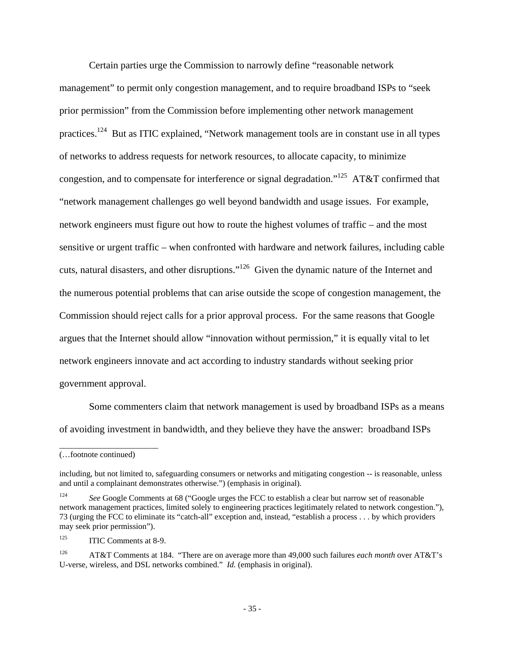Certain parties urge the Commission to narrowly define "reasonable network management" to permit only congestion management, and to require broadband ISPs to "seek prior permission" from the Commission before implementing other network management practices.124 But as ITIC explained, "Network management tools are in constant use in all types of networks to address requests for network resources, to allocate capacity, to minimize congestion, and to compensate for interference or signal degradation."125 AT&T confirmed that "network management challenges go well beyond bandwidth and usage issues. For example, network engineers must figure out how to route the highest volumes of traffic – and the most sensitive or urgent traffic – when confronted with hardware and network failures, including cable cuts, natural disasters, and other disruptions."126 Given the dynamic nature of the Internet and the numerous potential problems that can arise outside the scope of congestion management, the Commission should reject calls for a prior approval process. For the same reasons that Google argues that the Internet should allow "innovation without permission," it is equally vital to let network engineers innovate and act according to industry standards without seeking prior government approval.

Some commenters claim that network management is used by broadband ISPs as a means of avoiding investment in bandwidth, and they believe they have the answer: broadband ISPs

\_\_\_\_\_\_\_\_\_\_\_\_\_\_\_\_\_\_\_\_\_\_\_\_

<sup>(…</sup>footnote continued)

including, but not limited to, safeguarding consumers or networks and mitigating congestion -- is reasonable, unless and until a complainant demonstrates otherwise.") (emphasis in original).

<sup>&</sup>lt;sup>124</sup> See Google Comments at 68 ("Google urges the FCC to establish a clear but narrow set of reasonable network management practices, limited solely to engineering practices legitimately related to network congestion."), 73 (urging the FCC to eliminate its "catch-all" exception and, instead, "establish a process . . . by which providers may seek prior permission").

<sup>&</sup>lt;sup>125</sup> ITIC Comments at 8-9.

<sup>126</sup> AT&T Comments at 184. "There are on average more than 49,000 such failures *each month* over AT&T's U-verse, wireless, and DSL networks combined." *Id.* (emphasis in original).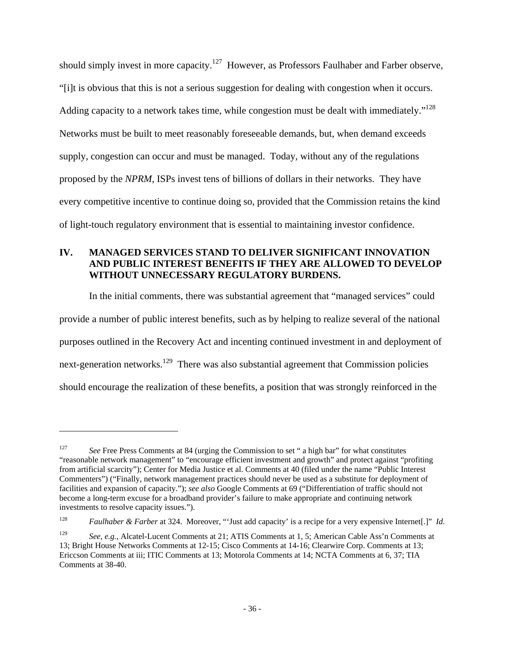should simply invest in more capacity.<sup>127</sup> However, as Professors Faulhaber and Farber observe, "[i]t is obvious that this is not a serious suggestion for dealing with congestion when it occurs. Adding capacity to a network takes time, while congestion must be dealt with immediately."<sup>128</sup> Networks must be built to meet reasonably foreseeable demands, but, when demand exceeds supply, congestion can occur and must be managed. Today, without any of the regulations proposed by the *NPRM*, ISPs invest tens of billions of dollars in their networks. They have every competitive incentive to continue doing so, provided that the Commission retains the kind of light-touch regulatory environment that is essential to maintaining investor confidence.

### **IV. MANAGED SERVICES STAND TO DELIVER SIGNIFICANT INNOVATION AND PUBLIC INTEREST BENEFITS IF THEY ARE ALLOWED TO DEVELOP WITHOUT UNNECESSARY REGULATORY BURDENS.**

In the initial comments, there was substantial agreement that "managed services" could provide a number of public interest benefits, such as by helping to realize several of the national purposes outlined in the Recovery Act and incenting continued investment in and deployment of next-generation networks.<sup>129</sup> There was also substantial agreement that Commission policies should encourage the realization of these benefits, a position that was strongly reinforced in the

<sup>&</sup>lt;sup>127</sup> See Free Press Comments at 84 (urging the Commission to set " a high bar" for what constitutes "reasonable network management" to "encourage efficient investment and growth" and protect against "profiting from artificial scarcity"); Center for Media Justice et al. Comments at 40 (filed under the name "Public Interest Commenters") ("Finally, network management practices should never be used as a substitute for deployment of facilities and expansion of capacity."); *see also* Google Comments at 69 ("Differentiation of traffic should not become a long-term excuse for a broadband provider's failure to make appropriate and continuing network investments to resolve capacity issues.").

<sup>128</sup> *Faulhaber & Farber* at 324. Moreover, "'Just add capacity' is a recipe for a very expensive Internet[.]" *Id.*

<sup>129</sup> *See, e.g.*, Alcatel-Lucent Comments at 21; ATIS Comments at 1, 5; American Cable Ass'n Comments at 13; Bright House Networks Comments at 12-15; Cisco Comments at 14-16; Clearwire Corp. Comments at 13; Ericcson Comments at iii; ITIC Comments at 13; Motorola Comments at 14; NCTA Comments at 6, 37; TIA Comments at 38-40.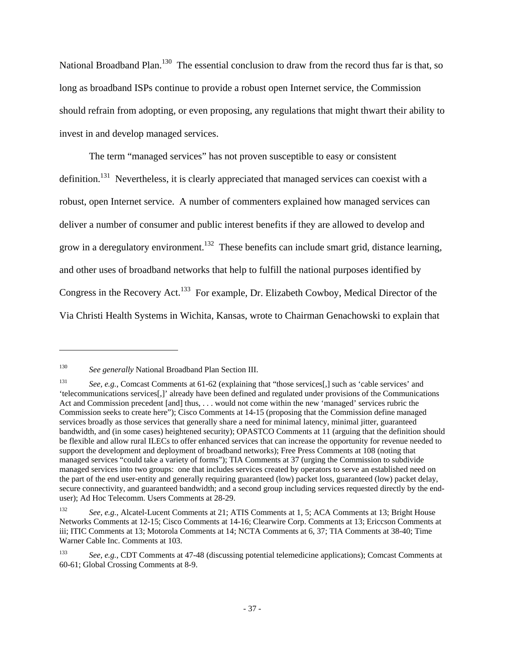National Broadband Plan.<sup>130</sup> The essential conclusion to draw from the record thus far is that, so long as broadband ISPs continue to provide a robust open Internet service, the Commission should refrain from adopting, or even proposing, any regulations that might thwart their ability to invest in and develop managed services.

The term "managed services" has not proven susceptible to easy or consistent definition.<sup>131</sup> Nevertheless, it is clearly appreciated that managed services can coexist with a robust, open Internet service. A number of commenters explained how managed services can deliver a number of consumer and public interest benefits if they are allowed to develop and grow in a deregulatory environment.<sup>132</sup> These benefits can include smart grid, distance learning, and other uses of broadband networks that help to fulfill the national purposes identified by Congress in the Recovery Act.<sup>133</sup> For example, Dr. Elizabeth Cowboy, Medical Director of the Via Christi Health Systems in Wichita, Kansas, wrote to Chairman Genachowski to explain that

<sup>130</sup> *See generally* National Broadband Plan Section III.

<sup>131</sup> *See, e.g.*, Comcast Comments at 61-62 (explaining that "those services[,] such as 'cable services' and 'telecommunications services[,]' already have been defined and regulated under provisions of the Communications Act and Commission precedent [and] thus, . . . would not come within the new 'managed' services rubric the Commission seeks to create here"); Cisco Comments at 14-15 (proposing that the Commission define managed services broadly as those services that generally share a need for minimal latency, minimal jitter, guaranteed bandwidth, and (in some cases) heightened security); OPASTCO Comments at 11 (arguing that the definition should be flexible and allow rural ILECs to offer enhanced services that can increase the opportunity for revenue needed to support the development and deployment of broadband networks); Free Press Comments at 108 (noting that managed services "could take a variety of forms"); TIA Comments at 37 (urging the Commission to subdivide managed services into two groups: one that includes services created by operators to serve an established need on the part of the end user-entity and generally requiring guaranteed (low) packet loss, guaranteed (low) packet delay, secure connectivity, and guaranteed bandwidth; and a second group including services requested directly by the enduser); Ad Hoc Telecomm. Users Comments at 28-29.

<sup>132</sup> *See, e.g.*, Alcatel-Lucent Comments at 21; ATIS Comments at 1, 5; ACA Comments at 13; Bright House Networks Comments at 12-15; Cisco Comments at 14-16; Clearwire Corp. Comments at 13; Ericcson Comments at iii; ITIC Comments at 13; Motorola Comments at 14; NCTA Comments at 6, 37; TIA Comments at 38-40; Time Warner Cable Inc. Comments at 103.

<sup>133</sup> *See, e.g.*, CDT Comments at 47-48 (discussing potential telemedicine applications); Comcast Comments at 60-61; Global Crossing Comments at 8-9.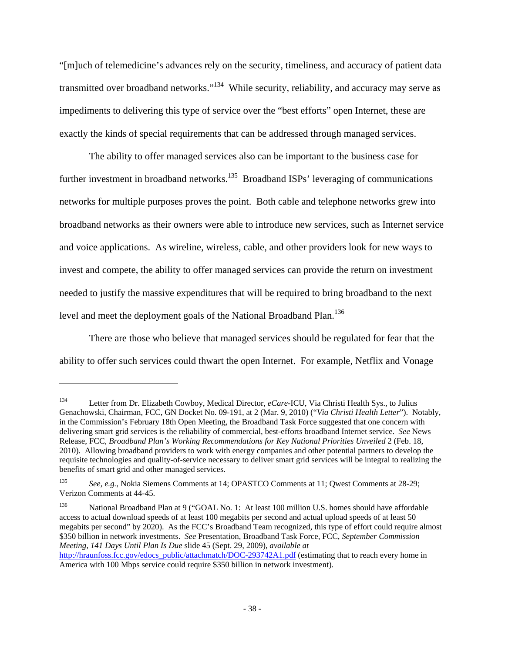"[m]uch of telemedicine's advances rely on the security, timeliness, and accuracy of patient data transmitted over broadband networks."<sup>134</sup> While security, reliability, and accuracy may serve as impediments to delivering this type of service over the "best efforts" open Internet, these are exactly the kinds of special requirements that can be addressed through managed services.

The ability to offer managed services also can be important to the business case for further investment in broadband networks.<sup>135</sup> Broadband ISPs' leveraging of communications networks for multiple purposes proves the point. Both cable and telephone networks grew into broadband networks as their owners were able to introduce new services, such as Internet service and voice applications. As wireline, wireless, cable, and other providers look for new ways to invest and compete, the ability to offer managed services can provide the return on investment needed to justify the massive expenditures that will be required to bring broadband to the next level and meet the deployment goals of the National Broadband Plan.<sup>136</sup>

There are those who believe that managed services should be regulated for fear that the ability to offer such services could thwart the open Internet. For example, Netflix and Vonage

<sup>134</sup> Letter from Dr. Elizabeth Cowboy, Medical Director, *eCare*-ICU, Via Christi Health Sys., to Julius Genachowski, Chairman, FCC, GN Docket No. 09-191, at 2 (Mar. 9, 2010) ("*Via Christi Health Letter*"). Notably, in the Commission's February 18th Open Meeting, the Broadband Task Force suggested that one concern with delivering smart grid services is the reliability of commercial, best-efforts broadband Internet service. *See* News Release, FCC, *Broadband Plan's Working Recommendations for Key National Priorities Unveiled* 2 (Feb. 18, 2010). Allowing broadband providers to work with energy companies and other potential partners to develop the requisite technologies and quality-of-service necessary to deliver smart grid services will be integral to realizing the benefits of smart grid and other managed services.

<sup>135</sup> *See, e.g.*, Nokia Siemens Comments at 14; OPASTCO Comments at 11; Qwest Comments at 28-29; Verizon Comments at 44-45.

<sup>136</sup> National Broadband Plan at 9 ("GOAL No. 1: At least 100 million U.S. homes should have affordable access to actual download speeds of at least 100 megabits per second and actual upload speeds of at least 50 megabits per second" by 2020). As the FCC's Broadband Team recognized, this type of effort could require almost \$350 billion in network investments. *See* Presentation, Broadband Task Force, FCC, *September Commission Meeting, 141 Days Until Plan Is Due* slide 45 (Sept. 29, 2009), *available at*

http://hraunfoss.fcc.gov/edocs\_public/attachmatch/DOC-293742A1.pdf (estimating that to reach every home in America with 100 Mbps service could require \$350 billion in network investment).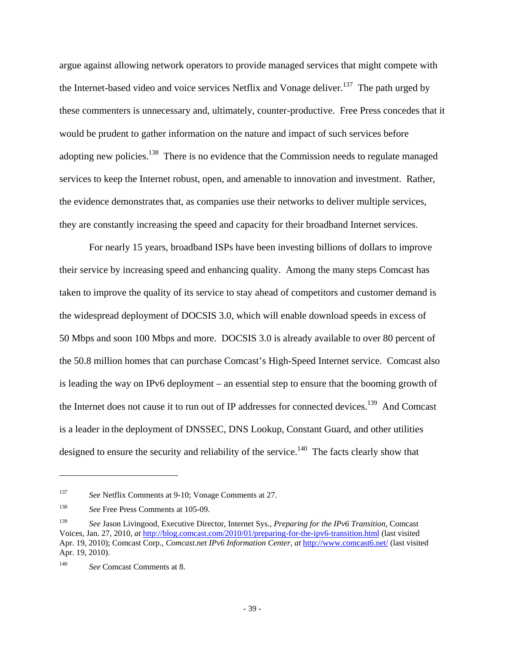argue against allowing network operators to provide managed services that might compete with the Internet-based video and voice services Netflix and Vonage deliver.<sup>137</sup> The path urged by these commenters is unnecessary and, ultimately, counter-productive. Free Press concedes that it would be prudent to gather information on the nature and impact of such services before adopting new policies.<sup>138</sup> There is no evidence that the Commission needs to regulate managed services to keep the Internet robust, open, and amenable to innovation and investment. Rather, the evidence demonstrates that, as companies use their networks to deliver multiple services, they are constantly increasing the speed and capacity for their broadband Internet services.

For nearly 15 years, broadband ISPs have been investing billions of dollars to improve their service by increasing speed and enhancing quality. Among the many steps Comcast has taken to improve the quality of its service to stay ahead of competitors and customer demand is the widespread deployment of DOCSIS 3.0, which will enable download speeds in excess of 50 Mbps and soon 100 Mbps and more. DOCSIS 3.0 is already available to over 80 percent of the 50.8 million homes that can purchase Comcast's High-Speed Internet service. Comcast also is leading the way on IPv6 deployment – an essential step to ensure that the booming growth of the Internet does not cause it to run out of IP addresses for connected devices.<sup>139</sup> And Comcast is a leader in the deployment of DNSSEC, DNS Lookup, Constant Guard, and other utilities designed to ensure the security and reliability of the service.<sup>140</sup> The facts clearly show that

<sup>137</sup> *See* Netflix Comments at 9-10; Vonage Comments at 27.

<sup>138</sup> *See* Free Press Comments at 105-09.

<sup>139</sup> *See* Jason Livingood, Executive Director, Internet Sys., *Preparing for the IPv6 Transition*, Comcast Voices, Jan. 27, 2010, *at* http://blog.comcast.com/2010/01/preparing-for-the-ipv6-transition.html (last visited Apr. 19, 2010); Comcast Corp., *Comcast.net IPv6 Information Center*, *at* http://www.comcast6.net/ (last visited Apr. 19, 2010).

<sup>140</sup> *See* Comcast Comments at 8.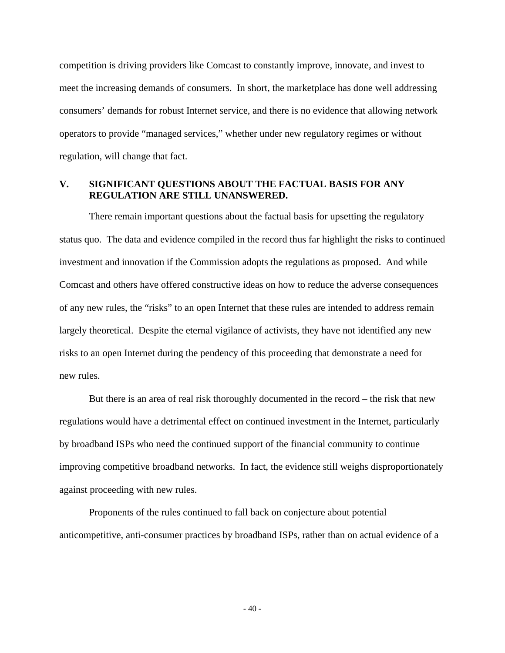competition is driving providers like Comcast to constantly improve, innovate, and invest to meet the increasing demands of consumers. In short, the marketplace has done well addressing consumers' demands for robust Internet service, and there is no evidence that allowing network operators to provide "managed services," whether under new regulatory regimes or without regulation, will change that fact.

#### **V. SIGNIFICANT QUESTIONS ABOUT THE FACTUAL BASIS FOR ANY REGULATION ARE STILL UNANSWERED.**

There remain important questions about the factual basis for upsetting the regulatory status quo. The data and evidence compiled in the record thus far highlight the risks to continued investment and innovation if the Commission adopts the regulations as proposed. And while Comcast and others have offered constructive ideas on how to reduce the adverse consequences of any new rules, the "risks" to an open Internet that these rules are intended to address remain largely theoretical. Despite the eternal vigilance of activists, they have not identified any new risks to an open Internet during the pendency of this proceeding that demonstrate a need for new rules.

But there is an area of real risk thoroughly documented in the record – the risk that new regulations would have a detrimental effect on continued investment in the Internet, particularly by broadband ISPs who need the continued support of the financial community to continue improving competitive broadband networks. In fact, the evidence still weighs disproportionately against proceeding with new rules.

Proponents of the rules continued to fall back on conjecture about potential anticompetitive, anti-consumer practices by broadband ISPs, rather than on actual evidence of a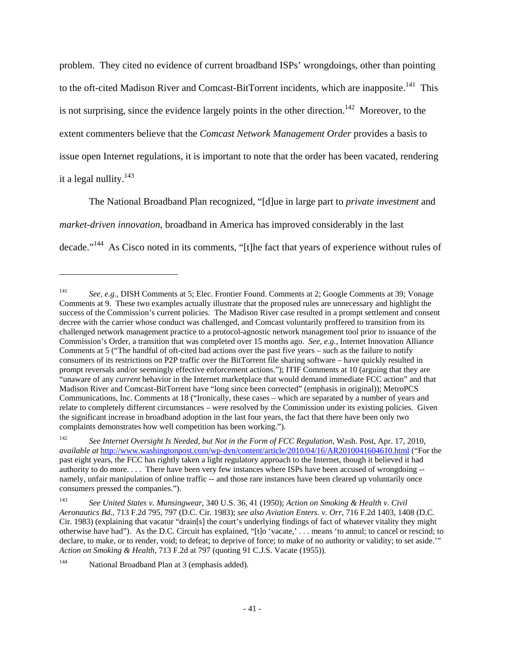problem. They cited no evidence of current broadband ISPs' wrongdoings, other than pointing to the oft-cited Madison River and Comcast-BitTorrent incidents, which are inapposite.<sup>141</sup> This is not surprising, since the evidence largely points in the other direction.<sup>142</sup> Moreover, to the extent commenters believe that the *Comcast Network Management Order* provides a basis to issue open Internet regulations, it is important to note that the order has been vacated, rendering it a legal nullity.<sup>143</sup>

The National Broadband Plan recognized, "[d]ue in large part to *private investment* and *market-driven innovation*, broadband in America has improved considerably in the last decade."144 As Cisco noted in its comments, "[t]he fact that years of experience without rules of

<sup>141</sup> *See, e.g.*, DISH Comments at 5; Elec. Frontier Found. Comments at 2; Google Comments at 39; Vonage Comments at 9. These two examples actually illustrate that the proposed rules are unnecessary and highlight the success of the Commission's current policies. The Madison River case resulted in a prompt settlement and consent decree with the carrier whose conduct was challenged, and Comcast voluntarily proffered to transition from its challenged network management practice to a protocol-agnostic network management tool prior to issuance of the Commission's Order, a transition that was completed over 15 months ago. *See, e.g.*, Internet Innovation Alliance Comments at 5 ("The handful of oft-cited bad actions over the past five years – such as the failure to notify consumers of its restrictions on P2P traffic over the BitTorrent file sharing software – have quickly resulted in prompt reversals and/or seemingly effective enforcement actions."); ITIF Comments at 10 (arguing that they are "unaware of any *current* behavior in the Internet marketplace that would demand immediate FCC action" and that Madison River and Comcast-BitTorrent have "long since been corrected" (emphasis in original)); MetroPCS Communications, Inc. Comments at 18 ("Ironically, these cases – which are separated by a number of years and relate to completely different circumstances – were resolved by the Commission under its existing policies. Given the significant increase in broadband adoption in the last four years, the fact that there have been only two complaints demonstrates how well competition has been working.").

<sup>142</sup> *See Internet Oversight Is Needed, but Not in the Form of FCC Regulation*, Wash. Post, Apr. 17, 2010, *available at* http://www.washingtonpost.com/wp-dyn/content/article/2010/04/16/AR2010041604610.html ("For the past eight years, the FCC has rightly taken a light regulatory approach to the Internet, though it believed it had authority to do more. . . . There have been very few instances where ISPs have been accused of wrongdoing - namely, unfair manipulation of online traffic -- and those rare instances have been cleared up voluntarily once consumers pressed the companies.").

<sup>143</sup> *See United States v. Munsingwear*, 340 U.S. 36, 41 (1950); *Action on Smoking & Health v. Civil Aeronautics Bd.*, 713 F.2d 795, 797 (D.C. Cir. 1983); *see also Aviation Enters. v. Orr*, 716 F.2d 1403, 1408 (D.C. Cir. 1983) (explaining that vacatur "drain[s] the court's underlying findings of fact of whatever vitality they might otherwise have had"). As the D.C. Circuit has explained, "[t]o 'vacate,' . . . means 'to annul; to cancel or rescind; to declare, to make, or to render, void; to defeat; to deprive of force; to make of no authority or validity; to set aside.'" *Action on Smoking & Health*, 713 F.2d at 797 (quoting 91 C.J.S. Vacate (1955)).

<sup>144</sup> National Broadband Plan at 3 (emphasis added).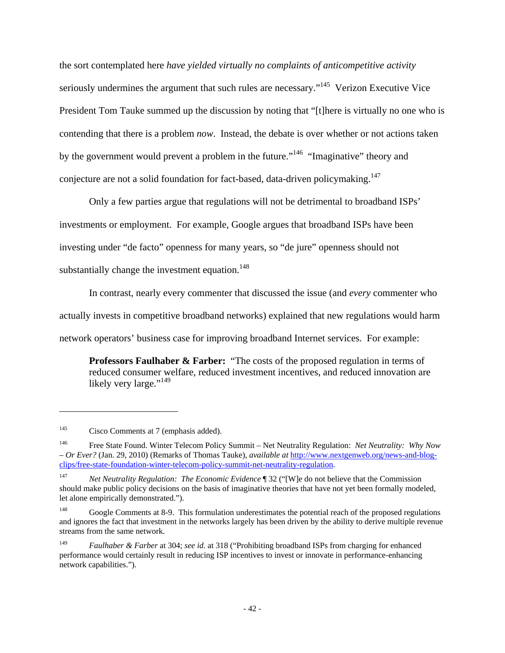the sort contemplated here *have yielded virtually no complaints of anticompetitive activity*  seriously undermines the argument that such rules are necessary."<sup>145</sup> Verizon Executive Vice President Tom Tauke summed up the discussion by noting that "[t]here is virtually no one who is contending that there is a problem *now*. Instead, the debate is over whether or not actions taken by the government would prevent a problem in the future."<sup>146</sup> "Imaginative" theory and conjecture are not a solid foundation for fact-based, data-driven policymaking.<sup>147</sup>

Only a few parties argue that regulations will not be detrimental to broadband ISPs' investments or employment. For example, Google argues that broadband ISPs have been investing under "de facto" openness for many years, so "de jure" openness should not substantially change the investment equation.<sup>148</sup>

In contrast, nearly every commenter that discussed the issue (and *every* commenter who actually invests in competitive broadband networks) explained that new regulations would harm network operators' business case for improving broadband Internet services. For example:

**Professors Faulhaber & Farber:** "The costs of the proposed regulation in terms of reduced consumer welfare, reduced investment incentives, and reduced innovation are likely very large."<sup>149</sup>

<sup>&</sup>lt;sup>145</sup> Cisco Comments at 7 (emphasis added).

<sup>146</sup> Free State Found. Winter Telecom Policy Summit – Net Neutrality Regulation: *Net Neutrality: Why Now – Or Ever?* (Jan. 29, 2010) (Remarks of Thomas Tauke), *available at* http://www.nextgenweb.org/news-and-blogclips/free-state-foundation-winter-telecom-policy-summit-net-neutrality-regulation.

<sup>147</sup> *Net Neutrality Regulation: The Economic Evidence* ¶ 32 ("[W]e do not believe that the Commission should make public policy decisions on the basis of imaginative theories that have not yet been formally modeled, let alone empirically demonstrated.").

<sup>&</sup>lt;sup>148</sup> Google Comments at 8-9. This formulation underestimates the potential reach of the proposed regulations and ignores the fact that investment in the networks largely has been driven by the ability to derive multiple revenue streams from the same network.

<sup>149</sup> *Faulhaber & Farber* at 304; *see id.* at 318 ("Prohibiting broadband ISPs from charging for enhanced performance would certainly result in reducing ISP incentives to invest or innovate in performance-enhancing network capabilities.").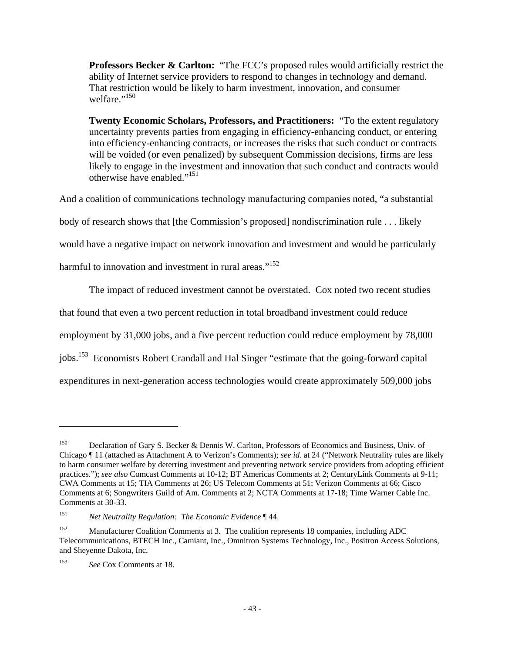**Professors Becker & Carlton:** "The FCC's proposed rules would artificially restrict the ability of Internet service providers to respond to changes in technology and demand. That restriction would be likely to harm investment, innovation, and consumer welfare."<sup>150</sup>

**Twenty Economic Scholars, Professors, and Practitioners:** "To the extent regulatory uncertainty prevents parties from engaging in efficiency-enhancing conduct, or entering into efficiency-enhancing contracts, or increases the risks that such conduct or contracts will be voided (or even penalized) by subsequent Commission decisions, firms are less likely to engage in the investment and innovation that such conduct and contracts would otherwise have enabled."151

And a coalition of communications technology manufacturing companies noted, "a substantial

body of research shows that [the Commission's proposed] nondiscrimination rule . . . likely

would have a negative impact on network innovation and investment and would be particularly

harmful to innovation and investment in rural areas."<sup>152</sup>

The impact of reduced investment cannot be overstated. Cox noted two recent studies

that found that even a two percent reduction in total broadband investment could reduce

employment by 31,000 jobs, and a five percent reduction could reduce employment by 78,000

jobs.<sup>153</sup> Economists Robert Crandall and Hal Singer "estimate that the going-forward capital

expenditures in next-generation access technologies would create approximately 509,000 jobs

<sup>&</sup>lt;sup>150</sup> Declaration of Gary S. Becker & Dennis W. Carlton, Professors of Economics and Business, Univ. of Chicago ¶ 11 (attached as Attachment A to Verizon's Comments); *see id.* at 24 ("Network Neutrality rules are likely to harm consumer welfare by deterring investment and preventing network service providers from adopting efficient practices."); *see also* Comcast Comments at 10-12; BT Americas Comments at 2; CenturyLink Comments at 9-11; CWA Comments at 15; TIA Comments at 26; US Telecom Comments at 51; Verizon Comments at 66; Cisco Comments at 6; Songwriters Guild of Am. Comments at 2; NCTA Comments at 17-18; Time Warner Cable Inc. Comments at 30-33.

<sup>151</sup> *Net Neutrality Regulation: The Economic Evidence* ¶ 44.

<sup>&</sup>lt;sup>152</sup> Manufacturer Coalition Comments at 3. The coalition represents 18 companies, including ADC Telecommunications, BTECH Inc., Camiant, Inc., Omnitron Systems Technology, Inc., Positron Access Solutions, and Sheyenne Dakota, Inc.

<sup>153</sup> *See* Cox Comments at 18.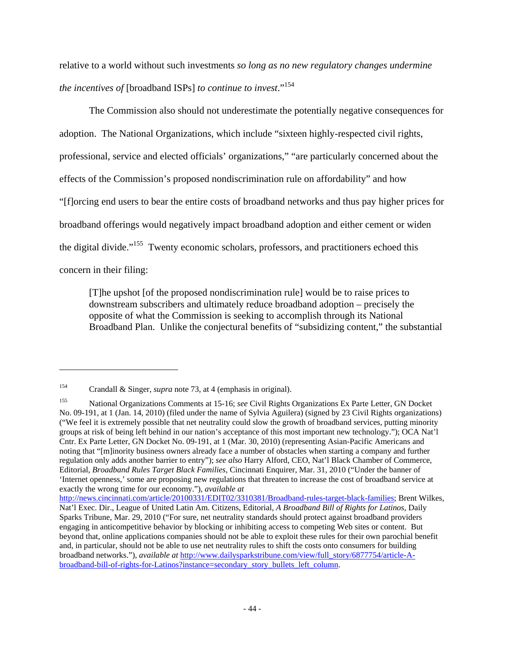relative to a world without such investments *so long as no new regulatory changes undermine the incentives of* [broadband ISPs] *to continue to invest*."154

The Commission also should not underestimate the potentially negative consequences for adoption. The National Organizations, which include "sixteen highly-respected civil rights, professional, service and elected officials' organizations," "are particularly concerned about the effects of the Commission's proposed nondiscrimination rule on affordability" and how "[f]orcing end users to bear the entire costs of broadband networks and thus pay higher prices for broadband offerings would negatively impact broadband adoption and either cement or widen the digital divide."155 Twenty economic scholars, professors, and practitioners echoed this concern in their filing:

[T]he upshot [of the proposed nondiscrimination rule] would be to raise prices to downstream subscribers and ultimately reduce broadband adoption – precisely the opposite of what the Commission is seeking to accomplish through its National Broadband Plan. Unlike the conjectural benefits of "subsidizing content," the substantial

<sup>154</sup> Crandall & Singer, *supra* note 73, at 4 (emphasis in original).

<sup>155</sup> National Organizations Comments at 15-16; *see* Civil Rights Organizations Ex Parte Letter, GN Docket No. 09-191, at 1 (Jan. 14, 2010) (filed under the name of Sylvia Aguilera) (signed by 23 Civil Rights organizations) ("We feel it is extremely possible that net neutrality could slow the growth of broadband services, putting minority groups at risk of being left behind in our nation's acceptance of this most important new technology."); OCA Nat'l Cntr. Ex Parte Letter, GN Docket No. 09-191, at 1 (Mar. 30, 2010) (representing Asian-Pacific Americans and noting that "[m]inority business owners already face a number of obstacles when starting a company and further regulation only adds another barrier to entry"); *see also* Harry Alford, CEO, Nat'l Black Chamber of Commerce, Editorial, *Broadband Rules Target Black Families*, Cincinnati Enquirer, Mar. 31, 2010 ("Under the banner of 'Internet openness,' some are proposing new regulations that threaten to increase the cost of broadband service at exactly the wrong time for our economy."), *available at* 

http://news.cincinnati.com/article/20100331/EDIT02/3310381/Broadband-rules-target-black-families; Brent Wilkes, Nat'l Exec. Dir., League of United Latin Am. Citizens, Editorial, *A Broadband Bill of Rights for Latinos*, Daily Sparks Tribune, Mar. 29, 2010 ("For sure, net neutrality standards should protect against broadband providers engaging in anticompetitive behavior by blocking or inhibiting access to competing Web sites or content. But beyond that, online applications companies should not be able to exploit these rules for their own parochial benefit and, in particular, should not be able to use net neutrality rules to shift the costs onto consumers for building broadband networks."), *available at* http://www.dailysparkstribune.com/view/full\_story/6877754/article-Abroadband-bill-of-rights-for-Latinos?instance=secondary\_story\_bullets\_left\_column.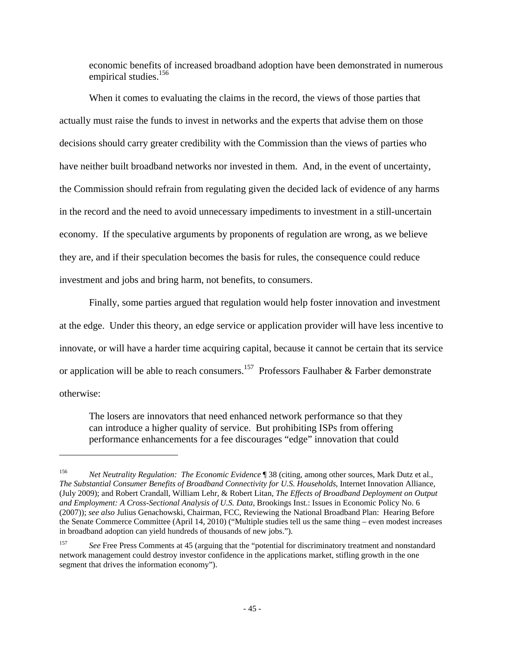economic benefits of increased broadband adoption have been demonstrated in numerous empirical studies.<sup>156</sup>

When it comes to evaluating the claims in the record, the views of those parties that actually must raise the funds to invest in networks and the experts that advise them on those decisions should carry greater credibility with the Commission than the views of parties who have neither built broadband networks nor invested in them. And, in the event of uncertainty, the Commission should refrain from regulating given the decided lack of evidence of any harms in the record and the need to avoid unnecessary impediments to investment in a still-uncertain economy. If the speculative arguments by proponents of regulation are wrong, as we believe they are, and if their speculation becomes the basis for rules, the consequence could reduce investment and jobs and bring harm, not benefits, to consumers.

Finally, some parties argued that regulation would help foster innovation and investment at the edge. Under this theory, an edge service or application provider will have less incentive to innovate, or will have a harder time acquiring capital, because it cannot be certain that its service or application will be able to reach consumers.<sup>157</sup> Professors Faulhaber & Farber demonstrate otherwise:

The losers are innovators that need enhanced network performance so that they can introduce a higher quality of service. But prohibiting ISPs from offering performance enhancements for a fee discourages "edge" innovation that could

<sup>156</sup> *Net Neutrality Regulation: The Economic Evidence* ¶ 38 (citing, among other sources, Mark Dutz et al., *The Substantial Consumer Benefits of Broadband Connectivity for U.S. Households*, Internet Innovation Alliance, (July 2009); and Robert Crandall, William Lehr, & Robert Litan, *The Effects of Broadband Deployment on Output and Employment: A Cross-Sectional Analysis of U.S. Data*, Brookings Inst.: Issues in Economic Policy No. 6 (2007)); *see also* Julius Genachowski, Chairman, FCC, Reviewing the National Broadband Plan: Hearing Before the Senate Commerce Committee (April 14, 2010) ("Multiple studies tell us the same thing – even modest increases in broadband adoption can yield hundreds of thousands of new jobs.").

<sup>&</sup>lt;sup>157</sup> *See* Free Press Comments at 45 (arguing that the "potential for discriminatory treatment and nonstandard network management could destroy investor confidence in the applications market, stifling growth in the one segment that drives the information economy").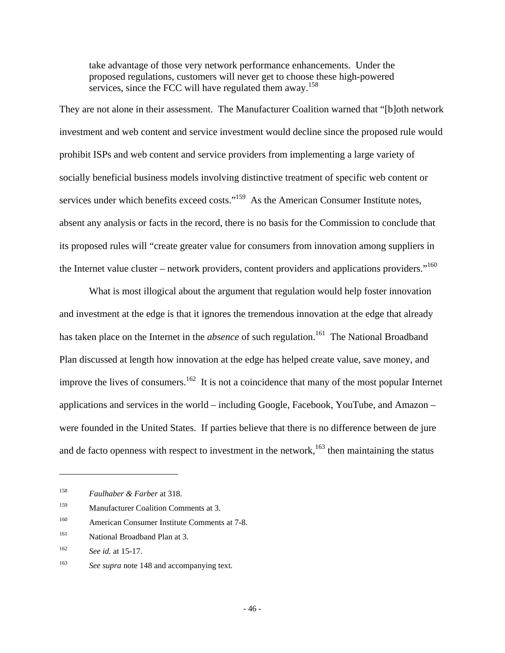take advantage of those very network performance enhancements. Under the proposed regulations, customers will never get to choose these high-powered services, since the FCC will have regulated them away.<sup>158</sup>

They are not alone in their assessment. The Manufacturer Coalition warned that "[b]oth network investment and web content and service investment would decline since the proposed rule would prohibit ISPs and web content and service providers from implementing a large variety of socially beneficial business models involving distinctive treatment of specific web content or services under which benefits exceed costs."<sup>159</sup> As the American Consumer Institute notes, absent any analysis or facts in the record, there is no basis for the Commission to conclude that its proposed rules will "create greater value for consumers from innovation among suppliers in the Internet value cluster – network providers, content providers and applications providers."<sup>160</sup>

What is most illogical about the argument that regulation would help foster innovation and investment at the edge is that it ignores the tremendous innovation at the edge that already has taken place on the Internet in the *absence* of such regulation.<sup>161</sup> The National Broadband Plan discussed at length how innovation at the edge has helped create value, save money, and improve the lives of consumers.<sup>162</sup> It is not a coincidence that many of the most popular Internet applications and services in the world – including Google, Facebook, YouTube, and Amazon – were founded in the United States. If parties believe that there is no difference between de jure and de facto openness with respect to investment in the network,  $163$  then maintaining the status

- 159 Manufacturer Coalition Comments at 3.
- 160 American Consumer Institute Comments at 7-8.
- 161 National Broadband Plan at 3.

 $\overline{a}$ 

163 *See supra* note 148 and accompanying text.

<sup>158</sup> *Faulhaber & Farber* at 318.

<sup>162</sup> *See id.* at 15-17.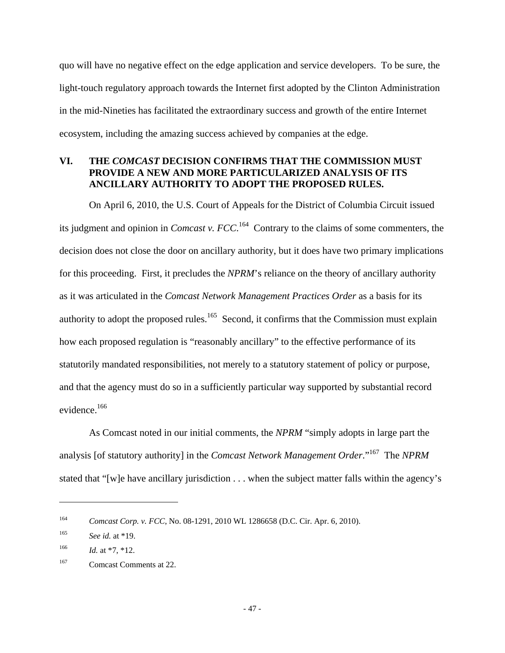quo will have no negative effect on the edge application and service developers. To be sure, the light-touch regulatory approach towards the Internet first adopted by the Clinton Administration in the mid-Nineties has facilitated the extraordinary success and growth of the entire Internet ecosystem, including the amazing success achieved by companies at the edge.

## **VI. THE** *COMCAST* **DECISION CONFIRMS THAT THE COMMISSION MUST PROVIDE A NEW AND MORE PARTICULARIZED ANALYSIS OF ITS ANCILLARY AUTHORITY TO ADOPT THE PROPOSED RULES.**

On April 6, 2010, the U.S. Court of Appeals for the District of Columbia Circuit issued its judgment and opinion in *Comcast v. FCC*. 164 Contrary to the claims of some commenters, the decision does not close the door on ancillary authority, but it does have two primary implications for this proceeding. First, it precludes the *NPRM*'s reliance on the theory of ancillary authority as it was articulated in the *Comcast Network Management Practices Order* as a basis for its authority to adopt the proposed rules.<sup>165</sup> Second, it confirms that the Commission must explain how each proposed regulation is "reasonably ancillary" to the effective performance of its statutorily mandated responsibilities, not merely to a statutory statement of policy or purpose, and that the agency must do so in a sufficiently particular way supported by substantial record evidence.166

As Comcast noted in our initial comments, the *NPRM* "simply adopts in large part the analysis [of statutory authority] in the *Comcast Network Management Order*."167 The *NPRM* stated that "[w]e have ancillary jurisdiction . . . when the subject matter falls within the agency's

<sup>164</sup> *Comcast Corp. v. FCC*, No. 08-1291, 2010 WL 1286658 (D.C. Cir. Apr. 6, 2010).

<sup>165</sup> *See id.* at \*19.

<sup>&</sup>lt;sup>166</sup> *Id.* at  $*7, *12$ .

<sup>167</sup> Comcast Comments at 22.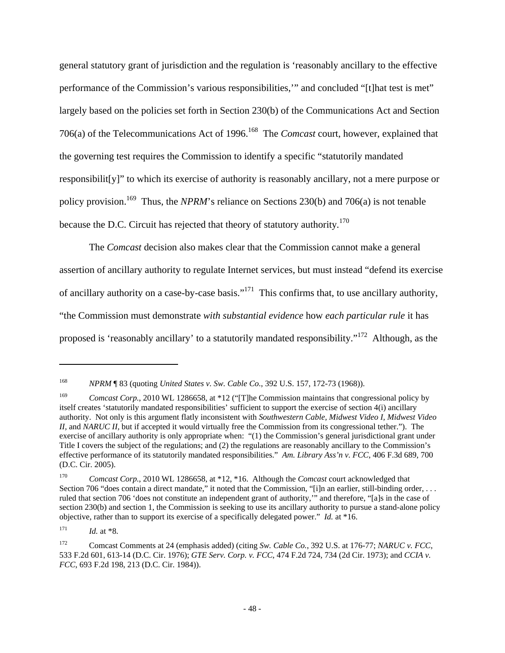general statutory grant of jurisdiction and the regulation is 'reasonably ancillary to the effective performance of the Commission's various responsibilities,'" and concluded "[t]hat test is met" largely based on the policies set forth in Section 230(b) of the Communications Act and Section 706(a) of the Telecommunications Act of 1996.168 The *Comcast* court, however, explained that the governing test requires the Commission to identify a specific "statutorily mandated responsibilit[y]" to which its exercise of authority is reasonably ancillary, not a mere purpose or policy provision.169 Thus, the *NPRM*'s reliance on Sections 230(b) and 706(a) is not tenable because the D.C. Circuit has rejected that theory of statutory authority*.* <sup>170</sup>

The *Comcast* decision also makes clear that the Commission cannot make a general assertion of ancillary authority to regulate Internet services, but must instead "defend its exercise of ancillary authority on a case-by-case basis."171 This confirms that, to use ancillary authority, "the Commission must demonstrate *with substantial evidence* how *each particular rule* it has proposed is 'reasonably ancillary' to a statutorily mandated responsibility."172 Although, as the

<sup>168</sup> *NPRM* ¶ 83 (quoting *United States v. Sw. Cable Co.*, 392 U.S. 157, 172-73 (1968)).

<sup>&</sup>lt;sup>169</sup> *Comcast Corp.*, 2010 WL 1286658, at \*12 ("The Commission maintains that congressional policy by itself creates 'statutorily mandated responsibilities' sufficient to support the exercise of section 4(i) ancillary authority. Not only is this argument flatly inconsistent with *Southwestern Cable, Midwest Video I, Midwest Video II,* and *NARUC II,* but if accepted it would virtually free the Commission from its congressional tether."). The exercise of ancillary authority is only appropriate when: "(1) the Commission's general jurisdictional grant under Title I covers the subject of the regulations; and (2) the regulations are reasonably ancillary to the Commission's effective performance of its statutorily mandated responsibilities." *Am. Library Ass'n v. FCC*, 406 F.3d 689, 700 (D.C. Cir. 2005).

<sup>170</sup> *Comcast Corp.*, 2010 WL 1286658, at \*12, \*16. Although the *Comcast* court acknowledged that Section 706 "does contain a direct mandate," it noted that the Commission, "[i]n an earlier, still-binding order, ... ruled that section 706 'does not constitute an independent grant of authority,'" and therefore, "[a]s in the case of section 230(b) and section 1, the Commission is seeking to use its ancillary authority to pursue a stand-alone policy objective, rather than to support its exercise of a specifically delegated power." *Id.* at \*16.

 $171$  *Id.* at \*8.

<sup>172</sup> Comcast Comments at 24 (emphasis added) (citing *Sw. Cable Co.*, 392 U.S. at 176-77; *NARUC v. FCC*, 533 F.2d 601, 613-14 (D.C. Cir. 1976); *GTE Serv. Corp. v. FCC*, 474 F.2d 724, 734 (2d Cir. 1973); and *CCIA v. FCC*, 693 F.2d 198, 213 (D.C. Cir. 1984)).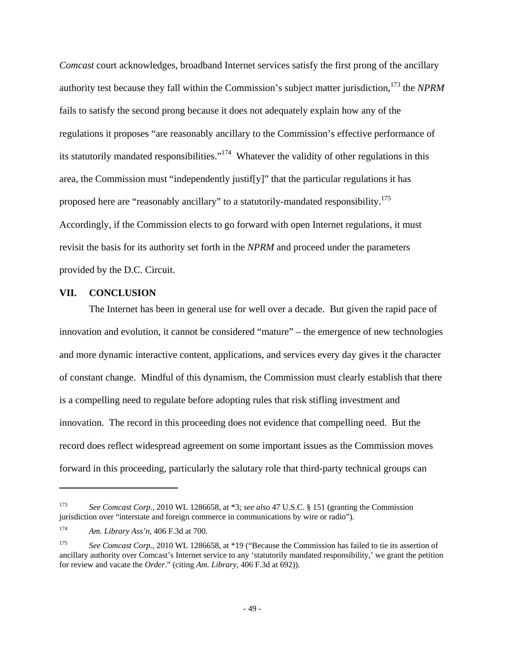*Comcast* court acknowledges, broadband Internet services satisfy the first prong of the ancillary authority test because they fall within the Commission's subject matter jurisdiction,173 the *NPRM*  fails to satisfy the second prong because it does not adequately explain how any of the regulations it proposes "are reasonably ancillary to the Commission's effective performance of its statutorily mandated responsibilities."<sup>174</sup> Whatever the validity of other regulations in this area, the Commission must "independently justif[y]" that the particular regulations it has proposed here are "reasonably ancillary" to a statutorily-mandated responsibility.175 Accordingly, if the Commission elects to go forward with open Internet regulations, it must revisit the basis for its authority set forth in the *NPRM* and proceed under the parameters provided by the D.C. Circuit.

#### **VII. CONCLUSION**

The Internet has been in general use for well over a decade. But given the rapid pace of innovation and evolution, it cannot be considered "mature" – the emergence of new technologies and more dynamic interactive content, applications, and services every day gives it the character of constant change. Mindful of this dynamism, the Commission must clearly establish that there is a compelling need to regulate before adopting rules that risk stifling investment and innovation. The record in this proceeding does not evidence that compelling need. But the record does reflect widespread agreement on some important issues as the Commission moves forward in this proceeding, particularly the salutary role that third-party technical groups can

<sup>173</sup> *See Comcast Corp.*, 2010 WL 1286658, at \*3; *see also* 47 U.S.C. § 151 (granting the Commission jurisdiction over "interstate and foreign commerce in communications by wire or radio").

<sup>174</sup> *Am. Library Ass'n*, 406 F.3d at 700.

<sup>175</sup> *See Comcast Corp.*, 2010 WL 1286658, at \*19 ("Because the Commission has failed to tie its assertion of ancillary authority over Comcast's Internet service to any 'statutorily mandated responsibility,' we grant the petition for review and vacate the *Order*." (citing *Am. Library*, 406 F.3d at 692)).